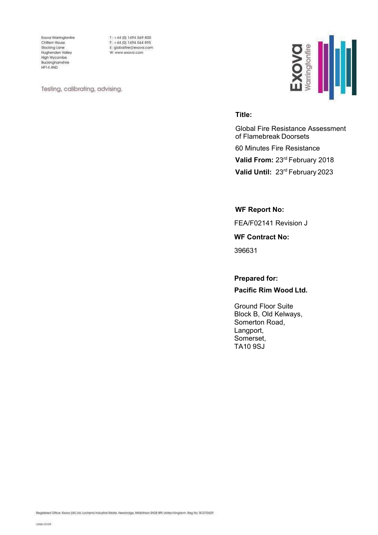Exova Warringtonfire Chiltern House Stocking Lane Hughenden Valley High Wycombe Buckinghamshire HP14 4ND

 $T: +44(0)1494569800$ F: +44 (0) 1494 564 895 E: globalfire@exova.com W: www.exova.com

Testing, calibrating, advising.



#### **Title:**

Global Fire Resistance Assessment of Flamebreak Doorsets 60 Minutes Fire Resistance **Valid From:** 23rd February 2018 **Valid Until:** 23rd February 2023

**WF Report No:** 

FEA/F02141 Revision J

**WF Contract No:** 

396631

**Prepared for:**

**Pacific Rim Wood Ltd.**

Ground Floor Suite Block B, Old Kelways, Somerton Road, Langport, Somerset, TA10 9SJ

Registered Office: Exova (M) Ud, Lochend Industrial Estate, Newbridge, Midlathian EH28 BPL United Kingalom. Reg No. 9C070429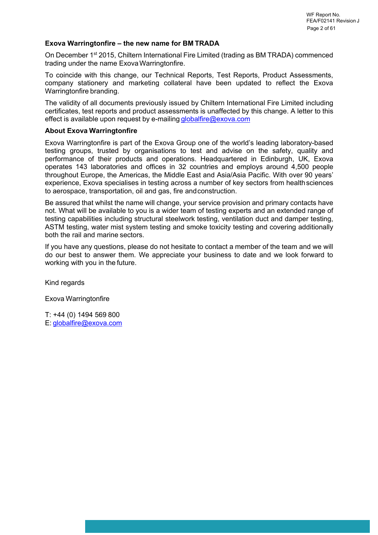#### **Exova Warringtonfire – the new name for BM TRADA**

On December 1st 2015, Chiltern International Fire Limited (trading as BM TRADA) commenced trading under the name Exova Warringtonfire.

To coincide with this change, our Technical Reports, Test Reports, Product Assessments, company stationery and marketing collateral have been updated to reflect the Exova Warringtonfire branding.

The validity of all documents previously issued by Chiltern International Fire Limited including certificates, test reports and product assessments is unaffected by this change. A letter to this effect is available upon request by e-mailing [globalfire@exova.com](mailto:globalfire@exova.com)

#### **About Exova Warringtonfire**

Exova Warringtonfire is part of the Exova Group one of the world's leading laboratory-based testing groups, trusted by organisations to test and advise on the safety, quality and performance of their products and operations. Headquartered in Edinburgh, UK, Exova operates 143 laboratories and offices in 32 countries and employs around 4,500 people throughout Europe, the Americas, the Middle East and Asia/Asia Pacific. With over 90 years' experience, Exova specialises in testing across a number of key sectors from health sciences to aerospace, transportation, oil and gas, fire and construction.

Be assured that whilst the name will change, your service provision and primary contacts have not. What will be available to you is a wider team of testing experts and an extended range of testing capabilities including structural steelwork testing, ventilation duct and damper testing, ASTM testing, water mist system testing and smoke toxicity testing and covering additionally both the rail and marine sectors.

If you have any questions, please do not hesitate to contact a member of the team and we will do our best to answer them. We appreciate your business to date and we look forward to working with you in the future.

Kind regards

Exova Warringtonfire

T: +44 (0) 1494 569 800 E: [globalfire@exova.com](mailto:globalfire@exova.com)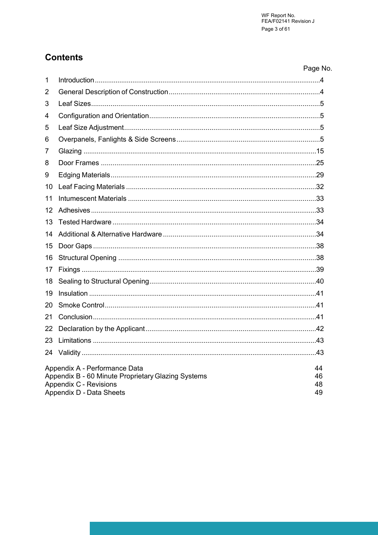## **Contents**

|                 |                                                           | Page No. |
|-----------------|-----------------------------------------------------------|----------|
| 1               |                                                           |          |
| 2               |                                                           |          |
| 3               |                                                           |          |
| 4               |                                                           |          |
| 5               |                                                           |          |
| 6               |                                                           |          |
| 7               |                                                           |          |
| 8               |                                                           |          |
| 9               |                                                           |          |
| 10 <sup>°</sup> |                                                           |          |
| 11              |                                                           |          |
| 12 <sup>2</sup> |                                                           |          |
| 13              |                                                           |          |
| 14              |                                                           |          |
| 15              |                                                           |          |
| 16              |                                                           |          |
| 17              |                                                           |          |
| 18              |                                                           |          |
| 19              |                                                           |          |
| 20              |                                                           |          |
| 21              |                                                           |          |
| 22              |                                                           |          |
| 23              |                                                           |          |
|                 |                                                           | .43      |
|                 | Appendix A - Performance Data                             | 44       |
|                 | Appendix B - 60 Minute Proprietary Glazing Systems        | 46       |
|                 | <b>Appendix C - Revisions</b><br>Appendix D - Data Sheets | 48<br>49 |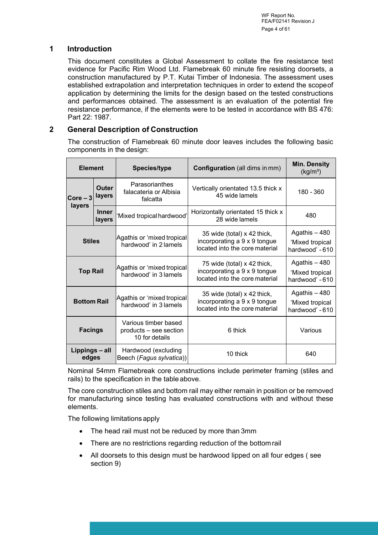WF Report No. FEA/F02141 Revision J Page 4 of 61

### <span id="page-3-0"></span>**1 Introduction**

This document constitutes a Global Assessment to collate the fire resistance test evidence for Pacific Rim Wood Ltd. Flamebreak 60 minute fire resisting doorsets, a construction manufactured by P.T. Kutai Timber of Indonesia. The assessment uses established extrapolation and interpretation techniques in order to extend the scope of application by determining the limits for the design based on the tested constructions and performances obtained. The assessment is an evaluation of the potential fire resistance performance, if the elements were to be tested in accordance with BS 476: Part 22: 1987.

### <span id="page-3-1"></span>**2 General Description of Construction**

The construction of Flamebreak 60 minute door leaves includes the following basic components in the design:

| <b>Element</b>          |                        | <b>Species/type</b>                                              | <b>Configuration</b> (all dims in mm)                                                         | <b>Min. Density</b><br>(kg/m <sup>3</sup> )         |
|-------------------------|------------------------|------------------------------------------------------------------|-----------------------------------------------------------------------------------------------|-----------------------------------------------------|
| $Corc - 3$              | Outer<br>layers        | Parasorianthes<br>falacateria or Albisia<br>falcatta             | Vertically orientated 13.5 thick x<br>45 wide lamels                                          | 180 - 360                                           |
| layers                  | <b>Inner</b><br>layers | 'Mixed tropical hardwood'                                        | Horizontally orientated 15 thick x<br>28 wide lamels                                          | 480                                                 |
| <b>Stiles</b>           |                        | Agathis or 'mixed tropical<br>hardwood' in 2 lamels              | 35 wide (total) x 42 thick,<br>incorporating a 9 x 9 tongue<br>located into the core material | Agathis - 480<br>'Mixed tropical<br>hardwood' - 610 |
| <b>Top Rail</b>         |                        | Agathis or 'mixed tropical<br>hardwood' in 3 lamels              | 75 wide (total) x 42 thick,<br>incorporating a 9 x 9 tongue<br>located into the core material | Agathis - 480<br>'Mixed tropical<br>hardwood' - 610 |
| <b>Bottom Rail</b>      |                        | Agathis or 'mixed tropical <br>hardwood' in 3 lamels             | 35 wide (total) x 42 thick,<br>incorporating a 9 x 9 tongue<br>located into the core material | Agathis - 480<br>'Mixed tropical<br>hardwood' - 610 |
| <b>Facings</b>          |                        | Various timber based<br>products - see section<br>10 for details | 6 thick                                                                                       | Various                                             |
| Lippings - all<br>edges |                        | Hardwood (excluding<br>Beech (Fagus sylvatica))                  | 10 thick                                                                                      | 640                                                 |

Nominal 54mm Flamebreak core constructions include perimeter framing (stiles and rails) to the specification in the table above.

The core construction stiles and bottom rail may either remain in position or be removed for manufacturing since testing has evaluated constructions with and without these elements.

The following limitations apply

- The head rail must not be reduced by more than 3mm
- There are no restrictions regarding reduction of the bottom rail
- All doorsets to this design must be hardwood lipped on all four edges ( see section 9)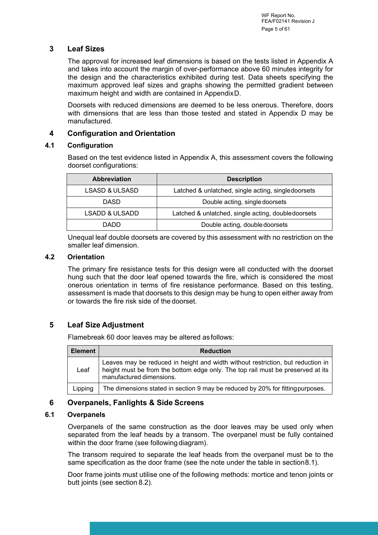### <span id="page-4-0"></span>**3 Leaf Sizes**

The approval for increased leaf dimensions is based on the tests listed in Appendix A and takes into account the margin of over-performance above 60 minutes integrity for the design and the characteristics exhibited during test. Data sheets specifying the maximum approved leaf sizes and graphs showing the permitted gradient between maximum height and width are contained in Appendix D.

Doorsets with reduced dimensions are deemed to be less onerous. Therefore, doors with dimensions that are less than those tested and stated in Appendix D may be manufactured.

### <span id="page-4-1"></span>**4 Configuration and Orientation**

### **4.1 Configuration**

Based on the test evidence listed in Appendix A, this assessment covers the following doorset configurations:

| <b>Abbreviation</b>       | <b>Description</b>                                 |  |
|---------------------------|----------------------------------------------------|--|
| <b>LSASD &amp; ULSASD</b> | Latched & unlatched, single acting, singledoorsets |  |
| <b>DASD</b>               | Double acting, single doorsets                     |  |
| <b>LSADD &amp; ULSADD</b> | Latched & unlatched, single acting, doubledoorsets |  |
| DADD                      | Double acting, double doorsets                     |  |

Unequal leaf double doorsets are covered by this assessment with no restriction on the smaller leaf dimension.

### **4.2 Orientation**

The primary fire resistance tests for this design were all conducted with the doorset hung such that the door leaf opened towards the fire, which is considered the most onerous orientation in terms of fire resistance performance. Based on this testing, assessment is made that doorsets to this design may be hung to open either away from or towards the fire risk side of the doorset.

### <span id="page-4-2"></span>**5 Leaf Size Adjustment**

Flamebreak 60 door leaves may be altered as follows:

| <b>Element</b> | <b>Reduction</b>                                                                                                                                                                               |  |  |
|----------------|------------------------------------------------------------------------------------------------------------------------------------------------------------------------------------------------|--|--|
| Leaf           | Leaves may be reduced in height and width without restriction, but reduction in<br>height must be from the bottom edge only. The top rail must be preserved at its<br>manufactured dimensions. |  |  |
| Lipping        | The dimensions stated in section 9 may be reduced by 20% for fitting purposes.                                                                                                                 |  |  |

### <span id="page-4-3"></span>**6 Overpanels, Fanlights & Side Screens**

### **6.1 Overpanels**

Overpanels of the same construction as the door leaves may be used only when separated from the leaf heads by a transom. The overpanel must be fully contained within the door frame (see following diagram).

The transom required to separate the leaf heads from the overpanel must be to the same specification as the door frame (see the note under the table in section 8.1).

Door frame joints must utilise one of the following methods: mortice and tenon joints or butt joints (see section 8.2).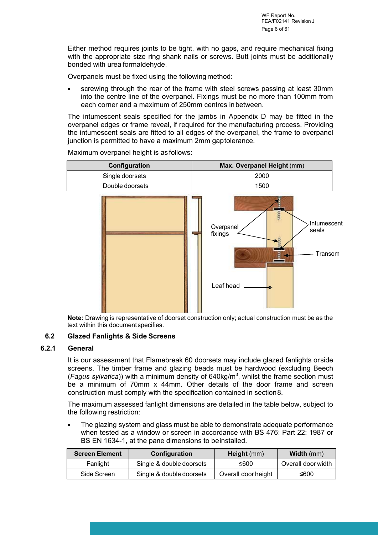Either method requires joints to be tight, with no gaps, and require mechanical fixing with the appropriate size ring shank nails or screws. Butt joints must be additionally bonded with urea formaldehyde.

Overpanels must be fixed using the following method:

 screwing through the rear of the frame with steel screws passing at least 30mm into the centre line of the overpanel. Fixings must be no more than 100mm from each corner and a maximum of 250mm centres in between.

The intumescent seals specified for the jambs in Appendix D may be fitted in the overpanel edges or frame reveal, if required for the manufacturing process. Providing the intumescent seals are fitted to all edges of the overpanel, the frame to overpanel junction is permitted to have a maximum 2mm gap tolerance.

**Overpanel** fixings Intumescent seals Transom Leaf head **Configuration Max. Overpanel Height**  $(mm)$ Single doorsets 2000 Double doorsets and the 1500

Maximum overpanel height is as follows:

**Note:** Drawing is representative of doorset construction only; actual construction must be as the text within this document specifies.

#### **6.2 Glazed Fanlights & Side Screens**

#### **6.2.1 General**

It is our assessment that Flamebreak 60 doorsets may include glazed fanlights or side screens. The timber frame and glazing beads must be hardwood (excluding Beech (*Fagus sylvatica*)) with a minimum density of 640kg/m<sup>3</sup> , whilst the frame section must be a minimum of 70mm x 44mm. Other details of the door frame and screen construction must comply with the specification contained in section 8.

The maximum assessed fanlight dimensions are detailed in the table below, subject to the following restriction:

 The glazing system and glass must be able to demonstrate adequate performance when tested as a window or screen in accordance with BS 476: Part 22: 1987 or BS EN 1634-1, at the pane dimensions to be installed.

| <b>Screen Element</b> | Configuration            | Height (mm)         | <b>Width</b> (mm)  |
|-----------------------|--------------------------|---------------------|--------------------|
| Fanlight              | Single & double doorsets | ≤600                | Overall door width |
| Side Screen           | Single & double doorsets | Overall door height | ≤600               |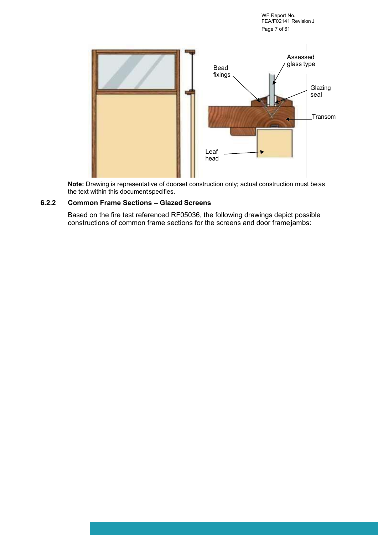WF Report No. FEA/F02141 Revision J Page 7 of 61



**Note:** Drawing is representative of doorset construction only; actual construction must be as the text within this document specifies.

### **6.2.2 Common Frame Sections – Glazed Screens**

Based on the fire test referenced RF05036, the following drawings depict possible constructions of common frame sections for the screens and door frame jambs: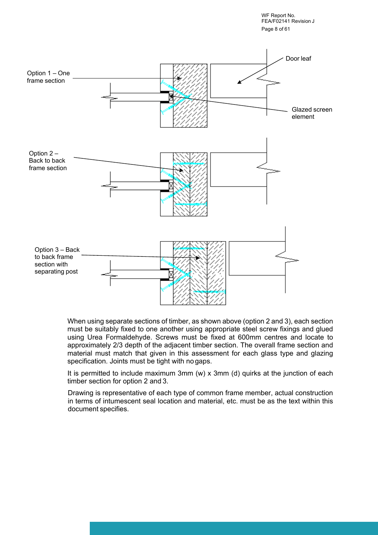WF Report No. FEA/F02141 Revision J Page 8 of 61



When using separate sections of timber, as shown above (option 2 and 3), each section must be suitably fixed to one another using appropriate steel screw fixings and glued using Urea Formaldehyde. Screws must be fixed at 600mm centres and locate to approximately 2/3 depth of the adjacent timber section. The overall frame section and material must match that given in this assessment for each glass type and glazing specification. Joints must be tight with no gaps.

It is permitted to include maximum 3mm (w) x 3mm (d) quirks at the junction of each timber section for option 2 and 3.

Drawing is representative of each type of common frame member, actual construction in terms of intumescent seal location and material, etc. must be as the text within this document specifies.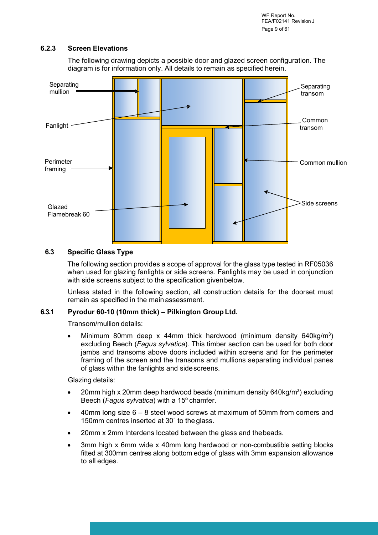WF Report No. FEA/F02141 Revision J Page 9 of 61

#### **6.2.3 Screen Elevations**

The following drawing depicts a possible door and glazed screen configuration. The diagram is for information only. All details to remain as specified herein.



#### **6.3 Specific Glass Type**

The following section provides a scope of approval for the glass type tested in RF05036 when used for glazing fanlights or side screens. Fanlights may be used in conjunction with side screens subject to the specification given below.

Unless stated in the following section, all construction details for the doorset must remain as specified in the main assessment.

#### **6.3.1 Pyrodur 60-10 (10mm thick) – Pilkington Group Ltd.**

Transom/mullion details:

• Minimum 80mm deep x 44mm thick hardwood (minimum density 640kg/m<sup>3</sup>) excluding Beech (*Fagus sylvatica*). This timber section can be used for both door jambs and transoms above doors included within screens and for the perimeter framing of the screen and the transoms and mullions separating individual panes of glass within the fanlights and side screens.

Glazing details:

- 20mm high x 20mm deep hardwood beads (minimum density  $640$ kg/m<sup>3</sup>) excluding Beech (*Fagus sylvatica*) with a 15º chamfer.
- 40mm long size 6 8 steel wood screws at maximum of 50mm from corners and 150mm centres inserted at 30˚ to the glass.
- 20mm x 2mm Interdens located between the glass and the beads.
- 3mm high x 6mm wide x 40mm long hardwood or non-combustible setting blocks fitted at 300mm centres along bottom edge of glass with 3mm expansion allowance to all edges.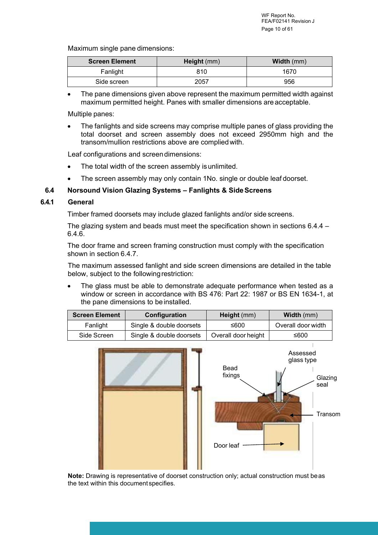Maximum single pane dimensions:

| <b>Screen Element</b> | Height (mm) | <b>Width</b> (mm) |
|-----------------------|-------------|-------------------|
| Fanlight              | 810         | 1670              |
| Side screen           | 2057        | 956               |

 The pane dimensions given above represent the maximum permitted width against maximum permitted height. Panes with smaller dimensions are acceptable.

Multiple panes:

 The fanlights and side screens may comprise multiple panes of glass providing the total doorset and screen assembly does not exceed 2950mm high and the transom/mullion restrictions above are complied with.

Leaf configurations and screen dimensions:

- The total width of the screen assembly is unlimited.
- The screen assembly may only contain 1No. single or double leaf doorset.

#### **6.4 Norsound Vision Glazing Systems – Fanlights & Side Screens**

#### **6.4.1 General**

Timber framed doorsets may include glazed fanlights and/or side screens.

The glazing system and beads must meet the specification shown in sections 6.4.4 – 6.4.6.

The door frame and screen framing construction must comply with the specification shown in section 6.4.7.

The maximum assessed fanlight and side screen dimensions are detailed in the table below, subject to the following restriction:

• The glass must be able to demonstrate adequate performance when tested as a window or screen in accordance with BS 476: Part 22: 1987 or BS EN 1634-1, at the pane dimensions to be installed.

| <b>Screen Element</b> | Configuration            | Height $(mm)$       | <b>Width (mm)</b>  |
|-----------------------|--------------------------|---------------------|--------------------|
| Fanlight              | Single & double doorsets | ≤600                | Overall door width |
| Side Screen           | Single & double doorsets | Overall door height | ≤600               |



**Note:** Drawing is representative of doorset construction only; actual construction must be as the text within this document specifies.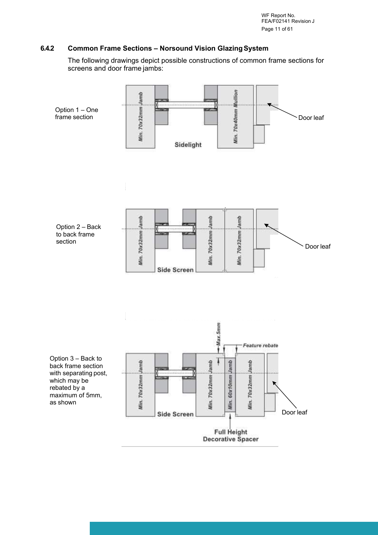WF Report No. FEA/F02141 Revision J Page 11 of 61

#### **6.4.2 Common Frame Sections – Norsound Vision Glazing System**

The following drawings depict possible constructions of common frame sections for screens and door frame jambs:

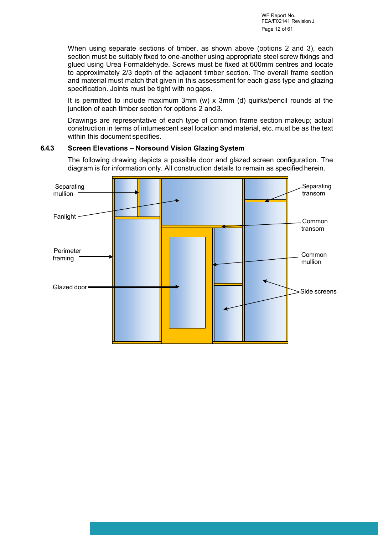When using separate sections of timber, as shown above (options 2 and 3), each section must be suitably fixed to one-another using appropriate steel screw fixings and glued using Urea Formaldehyde. Screws must be fixed at 600mm centres and locate to approximately 2/3 depth of the adjacent timber section. The overall frame section and material must match that given in this assessment for each glass type and glazing specification. Joints must be tight with no gaps.

It is permitted to include maximum 3mm (w) x 3mm (d) quirks/pencil rounds at the junction of each timber section for options 2 and 3.

Drawings are representative of each type of common frame section makeup; actual construction in terms of intumescent seal location and material, etc. must be as the text within this document specifies.

#### **6.4.3 Screen Elevations – Norsound Vision Glazing System**

The following drawing depicts a possible door and glazed screen configuration. The diagram is for information only. All construction details to remain as specified herein.

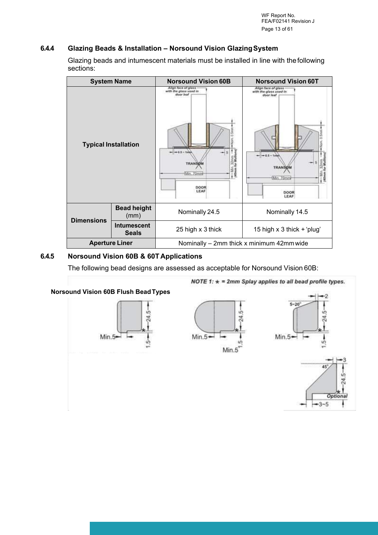### **6.4.4 Glazing Beads & Installation – Norsound Vision Glazing System**

Glazing beads and intumescent materials must be installed in line with the following sections:

| <b>System Name</b>          |                                    | <b>Norsound Vision 60B</b>                                                                                | <b>Norsound Vision 60T</b>                                                                                |
|-----------------------------|------------------------------------|-----------------------------------------------------------------------------------------------------------|-----------------------------------------------------------------------------------------------------------|
| <b>Typical Installation</b> |                                    | Align face of glass<br>with the glass used in<br>door leaf<br><b>TRANSOM</b><br>Min. 70mm<br>DOOR<br>LEAF | Align face of glass<br>with the glass used in<br>door leaf<br><b>TRANSOM</b><br>Min. 70mm<br>DOOR<br>LEAF |
| <b>Dimensions</b>           | <b>Bead height</b><br>(mm)         | Nominally 24.5                                                                                            | Nominally 14.5                                                                                            |
|                             | <b>Intumescent</b><br><b>Seals</b> | 25 high x 3 thick                                                                                         | 15 high $x$ 3 thick $+$ 'plug'                                                                            |
| <b>Aperture Liner</b>       |                                    | Nominally – 2mm thick x minimum 42mm wide                                                                 |                                                                                                           |

### **6.4.5 Norsound Vision 60B & 60T Applications**

The following bead designs are assessed as acceptable for Norsound Vision 60B:

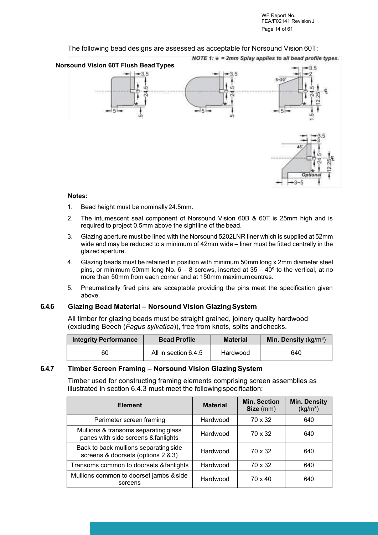The following bead designs are assessed as acceptable for Norsound Vision 60T:



#### **Notes:**

- 1. Bead height must be nominally 24.5mm.
- 2. The intumescent seal component of Norsound Vision 60B & 60T is 25mm high and is required to project 0.5mm above the sightline of the bead.
- 3. Glazing aperture must be lined with the Norsound 5202LNR liner which is supplied at 52mm wide and may be reduced to a minimum of 42mm wide – liner must be fitted centrally in the glazed aperture.
- 4. Glazing beads must be retained in position with minimum 50mm long x 2mm diameter steel pins, or minimum 50mm long No.  $6 - 8$  screws, inserted at  $35 - 40^{\circ}$  to the vertical, at no more than 50mm from each corner and at 150mm maximum centres.
- 5. Pneumatically fired pins are acceptable providing the pins meet the specification given above.

#### **6.4.6 Glazing Bead Material – Norsound Vision Glazing System**

All timber for glazing beads must be straight grained, joinery quality hardwood (excluding Beech (*Fagus sylvatica*)), free from knots, splits and checks.

| <b>Integrity Performance</b> | <b>Bead Profile</b>  | <b>Material</b> | <b>Min. Density</b> ( $kg/m3$ ) |
|------------------------------|----------------------|-----------------|---------------------------------|
| 60                           | All in section 6.4.5 | Hardwood        | 640                             |

#### **6.4.7 Timber Screen Framing – Norsound Vision Glazing System**

Timber used for constructing framing elements comprising screen assemblies as illustrated in section 6.4.3 must meet the following specification:

| <b>Element</b>                                                              | <b>Material</b> | <b>Min. Section</b><br>Size (mm) | <b>Min. Density</b><br>(kg/m <sup>3</sup> ) |
|-----------------------------------------------------------------------------|-----------------|----------------------------------|---------------------------------------------|
| Perimeter screen framing                                                    | Hardwood        | 70 x 32                          | 640                                         |
| Mullions & transoms separating glass<br>panes with side screens & fanlights | Hardwood        | 70 x 32                          | 640                                         |
| Back to back mullions separating side<br>screens & doorsets (options 2 & 3) | Hardwood        | 70 x 32                          | 640                                         |
| Transoms common to doorsets & fanlights                                     | Hardwood        | 70 x 32                          | 640                                         |
| Mullions common to doorset jambs & side<br>screens                          | Hardwood        | $70 \times 40$                   | 640                                         |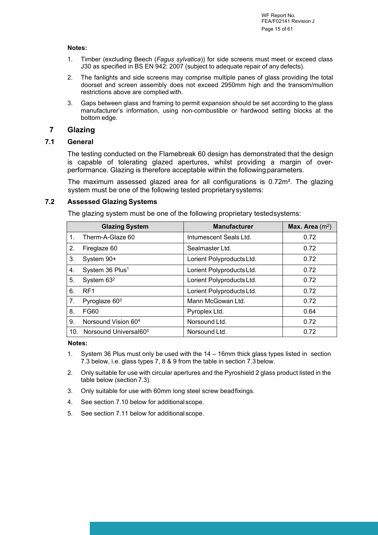#### **Notes:**

- 1. Timber (excluding Beech (*Fagus sylvatica*)) for side screens must meet or exceed class J30 as specified in BS EN 942: 2007 (subject to adequate repair of any defects).
- 2. The fanlights and side screens may comprise multiple panes of glass providing the total doorset and screen assembly does not exceed 2950mm high and the transom/mullion restrictions above are complied with.
- 3. Gaps between glass and framing to permit expansion should be set according to the glass manufacturer's information, using non-combustible or hardwood setting blocks at the bottom edge.

### <span id="page-14-0"></span>**7 Glazing**

#### **7.1 General**

The testing conducted on the Flamebreak 60 design has demonstrated that the design is capable of tolerating glazed apertures, whilst providing a margin of overperformance. Glazing is therefore acceptable within the following parameters.

The maximum assessed glazed area for all configurations is 0.72m². The glazing system must be one of the following tested proprietary systems:

#### **7.2 Assessed Glazing Systems**

The glazing system must be one of the following proprietary tested systems:

|             | <b>Glazing System</b>             | <b>Manufacturer</b>       | Max. Area $(m2)$ |
|-------------|-----------------------------------|---------------------------|------------------|
| $1_{\cdot}$ | Therm-A-Glaze 60                  | Intumescent Seals Ltd.    | 0.72             |
| 2.          | Fireglaze 60                      | Sealmaster Ltd.           | 0.72             |
| 3.          | System 90+                        | Lorient Polyproducts Ltd. | 0.72             |
| 4.          | System 36 Plus <sup>1</sup>       | Lorient Polyproducts Ltd. | 0.72             |
| 5.          | System 63 <sup>2</sup>            | Lorient Polyproducts Ltd. | 0.72             |
| 6.          | RF <sub>1</sub>                   | Lorient Polyproducts Ltd. | 0.72             |
| 7.          | Pyroglaze $603$                   | Mann McGowan Ltd.         | 0.72             |
| 8.          | <b>FG60</b>                       | Pyroplex Ltd.             | 0.64             |
| 9.          | Norsound Vision 60 <sup>4</sup>   | Norsound Ltd.             | 0.72             |
| 10.         | Norsound Universal60 <sup>5</sup> | Norsound Ltd.             | 0.72             |

**Notes:**

- 1. System 36 Plus must only be used with the 14 16mm thick glass types listed in section 7.3 below, i.e. glass types 7, 8 & 9 from the table in section 7.3 below.
- 2. Only suitable for use with circular apertures and the Pyroshield 2 glass product listed in the table below (section 7.3).
- 3. Only suitable for use with 60mm long steel screw bead fixings.
- 4. See section 7.10 below for additional scope.
- 5. See section 7.11 below for additional scope.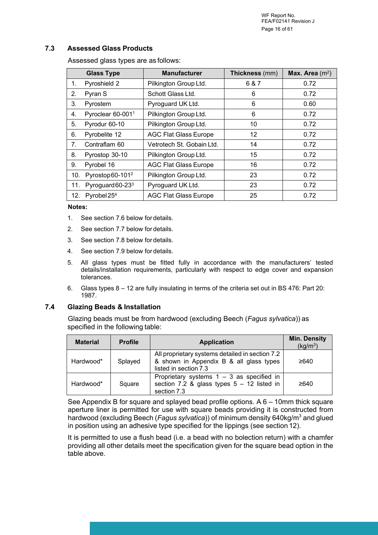WF Report No. FEA/F02141 Revision J Page 16 of 61

#### **7.3 Assessed Glass Products**

Assessed glass types are as follows:

|     | <b>Glass Type</b>            | <b>Manufacturer</b>          | Thickness (mm) | Max. Area $(m^2)$ |
|-----|------------------------------|------------------------------|----------------|-------------------|
| 1.  | Pyroshield 2                 | Pilkington Group Ltd.        | 6 & 7          | 0.72              |
| 2.  | Pyran S                      | Schott Glass Ltd.            | 6              | 0.72              |
| 3.  | Pyrostem                     | Pyroguard UK Ltd.            | 6              | 0.60              |
| 4.  | Pyroclear 60-0011            | Pilkington Group Ltd.        | 6              | 0.72              |
| 5.  | Pyrodur 60-10                | Pilkington Group Ltd.        | 10             | 0.72              |
| 6.  | Pyrobelite 12                | <b>AGC Flat Glass Europe</b> | 12             | 0.72              |
| 7.  | Contraflam 60                | Vetrotech St. Gobain Ltd.    | 14             | 0.72              |
| 8.  | Pyrostop 30-10               | Pilkington Group Ltd.        | 15             | 0.72              |
| 9.  | Pyrobel 16                   | <b>AGC Flat Glass Europe</b> | 16             | 0.72              |
| 10. | Pyrostop60-101 <sup>2</sup>  | Pilkington Group Ltd.        | 23             | 0.72              |
| 11. | Pyroguard 60-23 <sup>3</sup> | Pyroguard UK Ltd.            | 23             | 0.72              |
| 12. | Pyrobel $254$                | <b>AGC Flat Glass Europe</b> | 25             | 0.72              |

#### **Notes:**

- 1. See section 7.6 below for details.
- 2. See section 7.7 below for details.
- 3. See section 7.8 below for details.
- 4. See section 7.9 below for details.
- 5. All glass types must be fitted fully in accordance with the manufacturers' tested details/installation requirements, particularly with respect to edge cover and expansion tolerances.
- 6. Glass types 8 12 are fully insulating in terms of the criteria set out in BS 476: Part 20: 1987.

#### **7.4 Glazing Beads & Installation**

Glazing beads must be from hardwood (excluding Beech (*Fagus sylvatica*)) as specified in the following table:

| <b>Material</b> | <b>Profile</b> | <b>Application</b>                                                                                                  | <b>Min. Density</b><br>(kg/m <sup>3</sup> ) |
|-----------------|----------------|---------------------------------------------------------------------------------------------------------------------|---------------------------------------------|
| Hardwood*       | Splayed        | All proprietary systems detailed in section 7.2<br>& shown in Appendix B & all glass types<br>listed in section 7.3 | ≥640                                        |
| Hardwood*       | Square         | Proprietary systems $1 - 3$ as specified in<br>section 7.2 & glass types $5 - 12$ listed in<br>section 7.3          | ≥640                                        |

See Appendix B for square and splayed bead profile options. A 6 – 10mm thick square aperture liner is permitted for use with square beads providing it is constructed from hardwood (excluding Beech (*Fagus sylvatica*)) of minimum density 640kg/m<sup>3</sup> and glued in position using an adhesive type specified for the lippings (see section 12).

It is permitted to use a flush bead (i.e. a bead with no bolection return) with a chamfer providing all other details meet the specification given for the square bead option in the table above.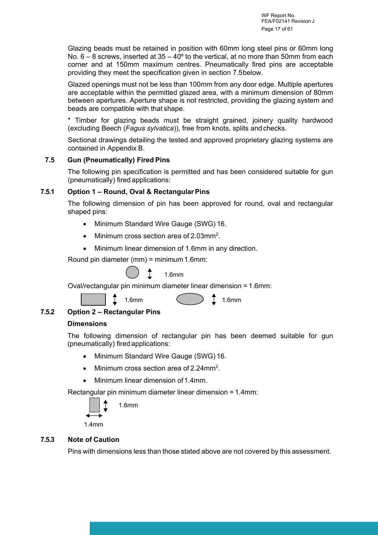Glazing beads must be retained in position with 60mm long steel pins or 60mm long No.  $6 - 8$  screws, inserted at  $35 - 40^{\circ}$  to the vertical, at no more than 50mm from each corner and at 150mm maximum centres. Pneumatically fired pins are acceptable providing they meet the specification given in section 7.5 below.

Glazed openings must not be less than 100mm from any door edge. Multiple apertures are acceptable within the permitted glazed area, with a minimum dimension of 80mm between apertures. Aperture shape is not restricted, providing the glazing system and beads are compatible with that shape.

\* Timber for glazing beads must be straight grained, joinery quality hardwood (excluding Beech (*Fagus sylvatica*)), free from knots, splits and checks.

Sectional drawings detailing the tested and approved proprietary glazing systems are contained in Appendix B.

### **7.5 Gun (Pneumatically) Fired Pins**

The following pin specification is permitted and has been considered suitable for gun (pneumatically) fired applications:

### **7.5.1 Option 1 – Round, Oval & Rectangular Pins**

The following dimension of pin has been approved for round, oval and rectangular shaped pins:

- Minimum Standard Wire Gauge (SWG) 16.
- Minimum cross section area of 2.03mm<sup>2</sup>.
- Minimum linear dimension of 1.6mm in any direction.

Round pin diameter (mm) = minimum 1.6mm:

## 1.6mm

Oval/rectangular pin minimum diameter linear dimension = 1.6mm:



1.6mm ( )  $\begin{array}{ccc} 1.6$ mm

### **7.5.2 Option 2 – Rectangular Pins**

### **Dimensions**

The following dimension of rectangular pin has been deemed suitable for gun (pneumatically) fired applications:

- Minimum Standard Wire Gauge (SWG) 16.
- Minimum cross section area of 2.24mm<sup>2</sup>.
- Minimum linear dimension of 1.4mm.

Rectangular pin minimum diameter linear dimension = 1.4mm:



1.4mm

### **7.5.3 Note of Caution**

Pins with dimensions less than those stated above are not covered by this assessment.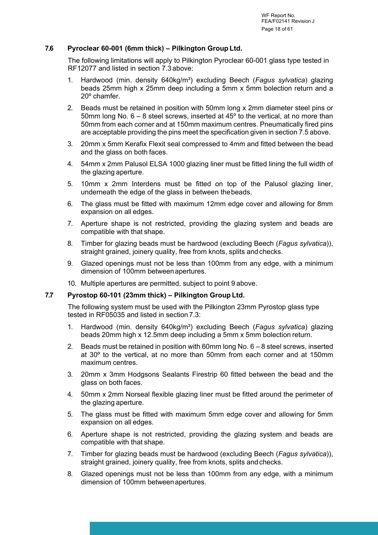### **7.6 Pyroclear 60-001 (6mm thick) – Pilkington Group Ltd.**

The following limitations will apply to Pilkington Pyroclear 60-001 glass type tested in RF12077 and listed in section 7.3 above:

- Hardwood (min. density 640kg/m<sup>3</sup>) excluding Beech (Fagus sylvatica) glazing beads 25mm high x 25mm deep including a 5mm x 5mm bolection return and a 20º chamfer.
- 2. Beads must be retained in position with 50mm long x 2mm diameter steel pins or 50mm long No. 6 – 8 steel screws, inserted at 45º to the vertical, at no more than 50mm from each corner and at 150mm maximum centres. Pneumatically fired pins are acceptable providing the pins meet the specification given in section 7.5 above.
- 3. 20mm x 5mm Kerafix Flexit seal compressed to 4mm and fitted between the bead and the glass on both faces.
- 4. 54mm x 2mm Palusol ELSA 1000 glazing liner must be fitted lining the full width of the glazing aperture.
- 5. 10mm x 2mm Interdens must be fitted on top of the Palusol glazing liner, underneath the edge of the glass in between the beads.
- 6. The glass must be fitted with maximum 12mm edge cover and allowing for 8mm expansion on all edges.
- 7. Aperture shape is not restricted, providing the glazing system and beads are compatible with that shape.
- 8. Timber for glazing beads must be hardwood (excluding Beech (*Fagus sylvatica*)), straight grained, joinery quality, free from knots, splits and checks.
- 9. Glazed openings must not be less than 100mm from any edge, with a minimum dimension of 100mm between apertures.
- 10. Multiple apertures are permitted, subject to point 9 above.

#### **7.7 Pyrostop 60-101 (23mm thick) – Pilkington Group Ltd.**

The following system must be used with the Pilkington 23mm Pyrostop glass type tested in RF05035 and listed in section 7.3:

- 1. Hardwood (min. density 640kg/m³) excluding Beech (*Fagus sylvatica*) glazing beads 20mm high x 12.5mm deep including a 5mm x 5mm bolection return.
- 2. Beads must be retained in position with 60mm long No. 6 8 steel screws, inserted at 30º to the vertical, at no more than 50mm from each corner and at 150mm maximum centres.
- 3. 20mm x 3mm Hodgsons Sealants Firestrip 60 fitted between the bead and the glass on both faces.
- 4. 50mm x 2mm Norseal flexible glazing liner must be fitted around the perimeter of the glazing aperture.
- 5. The glass must be fitted with maximum 5mm edge cover and allowing for 5mm expansion on all edges.
- 6. Aperture shape is not restricted, providing the glazing system and beads are compatible with that shape.
- 7. Timber for glazing beads must be hardwood (excluding Beech (*Fagus sylvatica*)), straight grained, joinery quality, free from knots, splits and checks.
- 8. Glazed openings must not be less than 100mm from any edge, with a minimum dimension of 100mm between apertures.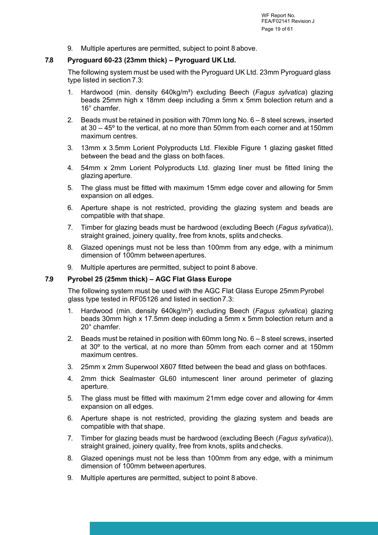9. Multiple apertures are permitted, subject to point 8 above.

### **7.8 Pyroguard 60-23 (23mm thick) – Pyroguard UK Ltd.**

The following system must be used with the Pyroguard UK Ltd. 23mm Pyroguard glass type listed in section 7.3:

- 1. Hardwood (min. density 640kg/m³) excluding Beech (*Fagus sylvatica*) glazing beads 25mm high x 18mm deep including a 5mm x 5mm bolection return and a 16° chamfer.
- 2. Beads must be retained in position with 70mm long No. 6 8 steel screws, inserted at 30 – 45º to the vertical, at no more than 50mm from each corner and at 150mm maximum centres.
- 3. 13mm x 3.5mm Lorient Polyproducts Ltd. Flexible Figure 1 glazing gasket fitted between the bead and the glass on both faces.
- 4. 54mm x 2mm Lorient Polyproducts Ltd. glazing liner must be fitted lining the glazing aperture.
- 5. The glass must be fitted with maximum 15mm edge cover and allowing for 5mm expansion on all edges.
- 6. Aperture shape is not restricted, providing the glazing system and beads are compatible with that shape.
- 7. Timber for glazing beads must be hardwood (excluding Beech (*Fagus sylvatica*)), straight grained, joinery quality, free from knots, splits and checks.
- 8. Glazed openings must not be less than 100mm from any edge, with a minimum dimension of 100mm between apertures.
- 9. Multiple apertures are permitted, subject to point 8 above.

#### **7.9 Pyrobel 25 (25mm thick) – AGC Flat Glass Europe**

The following system must be used with the AGC Flat Glass Europe 25mm Pyrobel glass type tested in RF05126 and listed in section 7.3:

- 1. Hardwood (min. density 640kg/m³) excluding Beech (*Fagus sylvatica*) glazing beads 30mm high x 17.5mm deep including a 5mm x 5mm bolection return and a 20° chamfer.
- 2. Beads must be retained in position with 60mm long No. 6 8 steel screws, inserted at 30º to the vertical, at no more than 50mm from each corner and at 150mm maximum centres.
- 3. 25mm x 2mm Superwool X607 fitted between the bead and glass on both faces.
- 4. 2mm thick Sealmaster GL60 intumescent liner around perimeter of glazing aperture.
- 5. The glass must be fitted with maximum 21mm edge cover and allowing for 4mm expansion on all edges.
- 6. Aperture shape is not restricted, providing the glazing system and beads are compatible with that shape.
- 7. Timber for glazing beads must be hardwood (excluding Beech (*Fagus sylvatica*)), straight grained, joinery quality, free from knots, splits and checks.
- 8. Glazed openings must not be less than 100mm from any edge, with a minimum dimension of 100mm between apertures.
- 9. Multiple apertures are permitted, subject to point 8 above.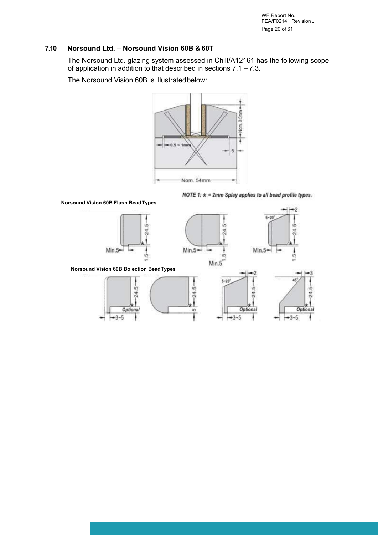WF Report No. FEA/F02141 Revision J Page 20 of 61

-2

X,

### **7.10 Norsound Ltd. – Norsound Vision 60B & 60T**

The Norsound Ltd. glazing system assessed in Chilt/A12161 has the following scope of application in addition to that described in sections  $7.1 - 7.3$ .

The Norsound Vision 60B is illustrated below:



NOTE 1:  $\star$  = 2mm Splay applies to all bead profile types.







**Norsound Vision 60B Bolection Bead Types**

![](_page_19_Figure_10.jpeg)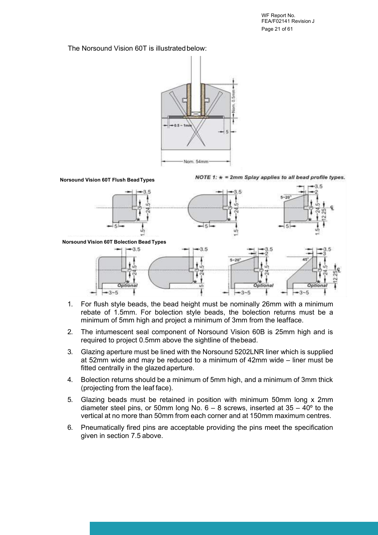WF Report No. FEA/F02141 Revision J Page 21 of 61

The Norsound Vision 60T is illustrated below:

![](_page_20_Figure_2.jpeg)

![](_page_20_Figure_3.jpeg)

- 1. For flush style beads, the bead height must be nominally 26mm with a minimum rebate of 1.5mm. For bolection style beads, the bolection returns must be a minimum of 5mm high and project a minimum of 3mm from the leafface.
- 2. The intumescent seal component of Norsound Vision 60B is 25mm high and is required to project 0.5mm above the sightline of the bead.
- 3. Glazing aperture must be lined with the Norsound 5202LNR liner which is supplied at 52mm wide and may be reduced to a minimum of 42mm wide – liner must be fitted centrally in the glazed aperture.
- 4. Bolection returns should be a minimum of 5mm high, and a minimum of 3mm thick (projecting from the leaf face).
- 5. Glazing beads must be retained in position with minimum 50mm long x 2mm diameter steel pins, or 50mm long No.  $6 - 8$  screws, inserted at  $35 - 40^{\circ}$  to the vertical at no more than 50mm from each corner and at 150mm maximum centres.
- 6. Pneumatically fired pins are acceptable providing the pins meet the specification given in section 7.5 above.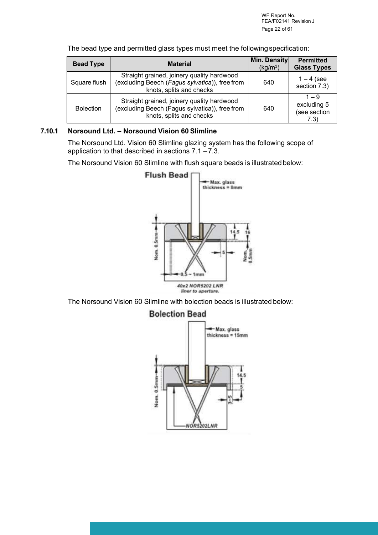| <b>Bead Type</b> | <b>Material</b>                                                                                                          | Min. Density<br>(kq/m <sup>3</sup> ) | <b>Permitted</b><br><b>Glass Types</b>         |
|------------------|--------------------------------------------------------------------------------------------------------------------------|--------------------------------------|------------------------------------------------|
| Square flush     | Straight grained, joinery quality hardwood<br>(excluding Beech (Fagus sylvatica)), free from<br>knots, splits and checks | 640                                  | $1 - 4$ (see<br>section 7.3)                   |
| <b>Bolection</b> | Straight grained, joinery quality hardwood<br>(excluding Beech (Fagus sylvatica)), free from<br>knots, splits and checks | 640                                  | $1 - 9$<br>excluding 5<br>(see section<br>7.3) |

The bead type and permitted glass types must meet the following specification:

### **7.10.1 Norsound Ltd. – Norsound Vision 60 Slimline**

The Norsound Ltd. Vision 60 Slimline glazing system has the following scope of application to that described in sections  $7.1 - 7.3$ .

The Norsound Vision 60 Slimline with flush square beads is illustrated below:

![](_page_21_Figure_6.jpeg)

The Norsound Vision 60 Slimline with bolection beads is illustrated below:

### **Bolection Bead**

![](_page_21_Figure_9.jpeg)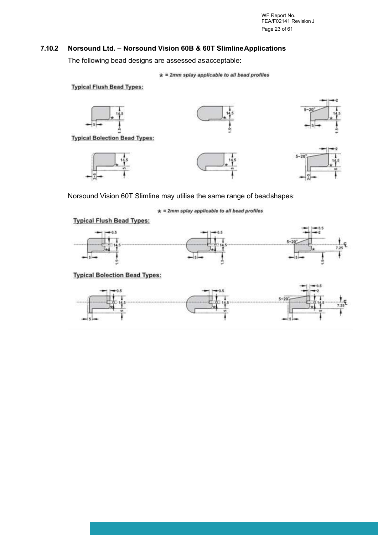WF Report No. FEA/F02141 Revision J Page 23 of 61

## **7.10.2 Norsound Ltd. – Norsound Vision 60B & 60T Slimline Applications**

The following bead designs are assessed as acceptable:

 $\star$  = 2mm splay applicable to all bead profiles

**Typical Flush Bead Types:** 

![](_page_22_Figure_5.jpeg)

Norsound Vision 60T Slimline may utilise the same range of bead shapes:

 $\star$  = 2mm splay applicable to all bead profiles

**Typical Flush Bead Types:** 

![](_page_22_Figure_9.jpeg)

**Typical Bolection Bead Types:** 

![](_page_22_Figure_11.jpeg)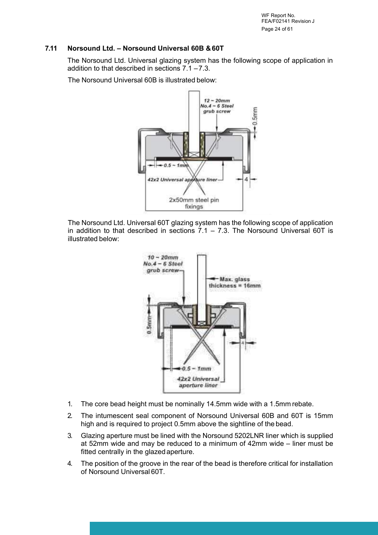WF Report No. FEA/F02141 Revision J Page 24 of 61

### **7.11 Norsound Ltd. – Norsound Universal 60B & 60T**

The Norsound Ltd. Universal glazing system has the following scope of application in addition to that described in sections  $7.1 - 7.3$ .

The Norsound Universal 60B is illustrated below:

![](_page_23_Figure_4.jpeg)

The Norsound Ltd. Universal 60T glazing system has the following scope of application in addition to that described in sections  $7.1 - 7.3$ . The Norsound Universal 60T is illustrated below:

![](_page_23_Figure_6.jpeg)

- 1. The core bead height must be nominally 14.5mm wide with a 1.5mm rebate.
- 2. The intumescent seal component of Norsound Universal 60B and 60T is 15mm high and is required to project 0.5mm above the sightline of the bead.
- 3. Glazing aperture must be lined with the Norsound 5202LNR liner which is supplied at 52mm wide and may be reduced to a minimum of 42mm wide – liner must be fitted centrally in the glazed aperture.
- 4. The position of the groove in the rear of the bead is therefore critical for installation of Norsound Universal 60T.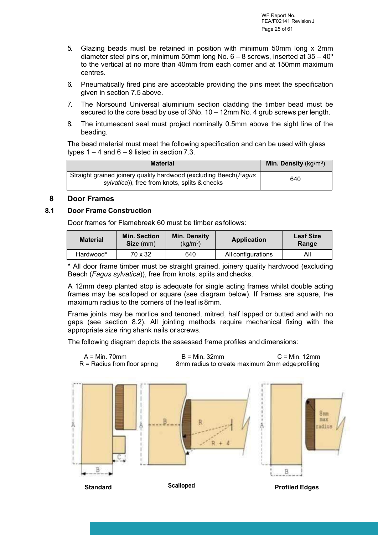- 5. Glazing beads must be retained in position with minimum 50mm long x 2mm diameter steel pins or, minimum 50mm long No. 6 – 8 screws, inserted at 35 – 40º to the vertical at no more than 40mm from each corner and at 150mm maximum centres.
- 6. Pneumatically fired pins are acceptable providing the pins meet the specification given in section 7.5 above.
- 7. The Norsound Universal aluminium section cladding the timber bead must be secured to the core bead by use of 3No. 10 – 12mm No. 4 grub screws per length.
- 8. The intumescent seal must project nominally 0.5mm above the sight line of the beading.

The bead material must meet the following specification and can be used with glass types  $1 - 4$  and  $6 - 9$  listed in section 7.3.

| <b>Material</b>                                                                                                    | <b>Min. Density</b> ( $kg/m3$ ) |
|--------------------------------------------------------------------------------------------------------------------|---------------------------------|
| Straight grained joinery quality hardwood (excluding Beech (Fagus<br>sylvatica)), free from knots, splits & checks | 640                             |

### <span id="page-24-0"></span>**8 Door Frames**

### **8.1 Door Frame Construction**

Door frames for Flamebreak 60 must be timber as follows:

| <b>Material</b> | <b>Min. Section</b><br>Size (mm) | <b>Min. Density</b><br>(kg/m <sup>3</sup> ) | <b>Application</b> | <b>Leaf Size</b><br>Range |
|-----------------|----------------------------------|---------------------------------------------|--------------------|---------------------------|
| Hardwood*       | 70 x 32                          | 640                                         | All configurations | ΑIΙ                       |

\* All door frame timber must be straight grained, joinery quality hardwood (excluding Beech (*Fagus sylvatica*)), free from knots, splits and checks.

A 12mm deep planted stop is adequate for single acting frames whilst double acting frames may be scalloped or square (see diagram below). If frames are square, the maximum radius to the corners of the leaf is 8mm.

Frame joints may be mortice and tenoned, mitred, half lapped or butted and with no gaps (see section 8.2). All jointing methods require mechanical fixing with the appropriate size ring shank nails or screws.

The following diagram depicts the assessed frame profiles and dimensions:

![](_page_24_Figure_15.jpeg)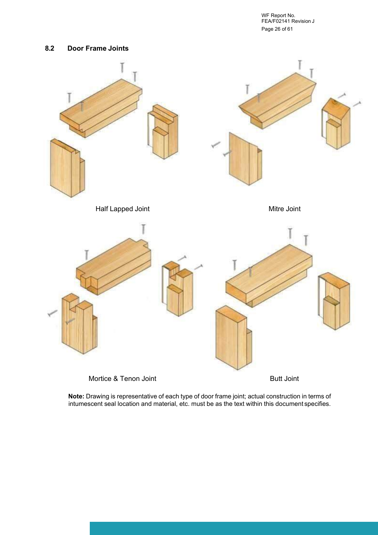WF Report No. FEA/F02141 Revision J Page 26 of 61

#### **8.2 Door Frame Joints**

![](_page_25_Figure_2.jpeg)

**Note:** Drawing is representative of each type of door frame joint; actual construction in terms of intumescent seal location and material, etc. must be as the text within this document specifies.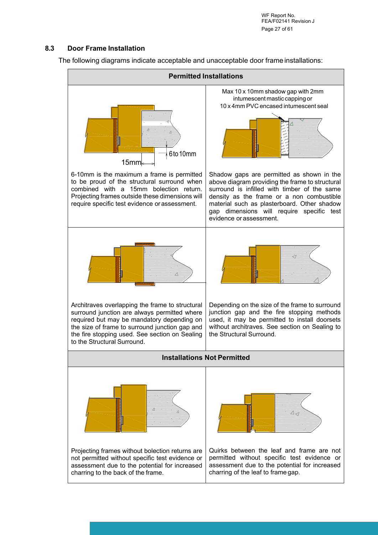WF Report No. FEA/F02141 Revision J Page 27 of 61

#### **8.3 Door Frame Installation**

The following diagrams indicate acceptable and unacceptable door frame installations:

![](_page_26_Figure_3.jpeg)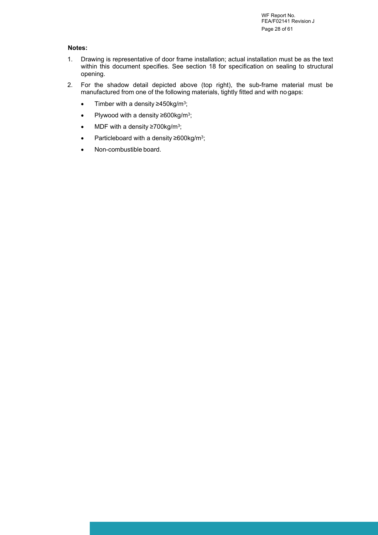WF Report No. FEA/F02141 Revision J Page 28 of 61

#### **Notes:**

- 1. Drawing is representative of door frame installation; actual installation must be as the text within this document specifies. See section 18 for specification on sealing to structural opening.
- 2. For the shadow detail depicted above (top right), the sub-frame material must be manufactured from one of the following materials, tightly fitted and with no gaps:
	- Timber with a density ≥450kg/m<sup>3</sup> ;
	- Plywood with a density ≥600kg/m<sup>3</sup> ;
	- MDF with a density ≥700kg/m<sup>3</sup>;
	- Particleboard with a density ≥600kg/m<sup>3</sup> ;
	- Non-combustible board.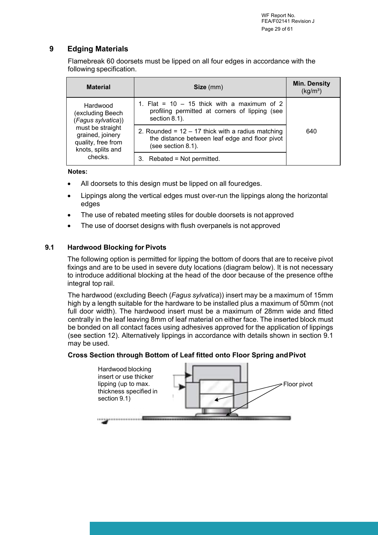### <span id="page-28-0"></span>**9 Edging Materials**

Flamebreak 60 doorsets must be lipped on all four edges in accordance with the following specification.

| <b>Material</b>                                                                 | Size (mm)                                                                                                                   | <b>Min. Density</b><br>(kg/m <sup>3</sup> ) |  |
|---------------------------------------------------------------------------------|-----------------------------------------------------------------------------------------------------------------------------|---------------------------------------------|--|
| Hardwood<br>excluding Beech)<br>(Fagus sylvatica))                              | 1. Flat = $10 - 15$ thick with a maximum of 2<br>profiling permitted at corners of lipping (see<br>section 8.1).            |                                             |  |
| must be straight<br>grained, joinery<br>quality, free from<br>knots, splits and | 2. Rounded = $12 - 17$ thick with a radius matching<br>the distance between leaf edge and floor pivot<br>(see section 8.1). | 640                                         |  |
| checks.                                                                         | Rebated = Not permitted.<br>3.                                                                                              |                                             |  |

#### **Notes:**

- All doorsets to this design must be lipped on all fouredges.
- Lippings along the vertical edges must over-run the lippings along the horizontal edges
- The use of rebated meeting stiles for double doorsets is not approved
- The use of doorset designs with flush overpanels is not approved

### **9.1 Hardwood Blocking for Pivots**

The following option is permitted for lipping the bottom of doors that are to receive pivot fixings and are to be used in severe duty locations (diagram below). It is not necessary to introduce additional blocking at the head of the door because of the presence of the integral top rail.

The hardwood (excluding Beech (*Fagus sylvatica*)) insert may be a maximum of 15mm high by a length suitable for the hardware to be installed plus a maximum of 50mm (not full door width). The hardwood insert must be a maximum of 28mm wide and fitted centrally in the leaf leaving 8mm of leaf material on either face. The inserted block must be bonded on all contact faces using adhesives approved for the application of lippings (see section 12). Alternatively lippings in accordance with details shown in section 9.1 may be used.

#### **Cross Section through Bottom of Leaf fitted onto Floor Spring and Pivot**

![](_page_28_Figure_13.jpeg)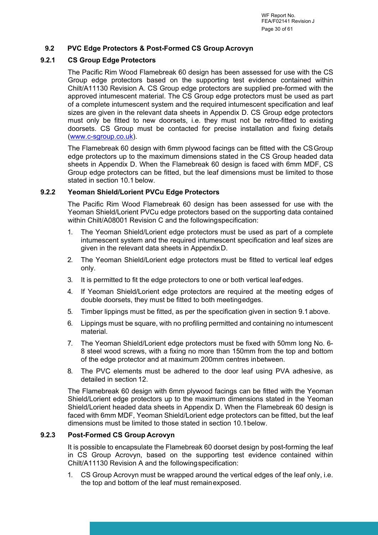WF Report No. FEA/F02141 Revision J Page 30 of 61

#### **9.2 PVC Edge Protectors & Post-Formed CS Group Acrovyn**

#### **9.2.1 CS Group Edge Protectors**

The Pacific Rim Wood Flamebreak 60 design has been assessed for use with the CS Group edge protectors based on the supporting test evidence contained within Chilt/A11130 Revision A. CS Group edge protectors are supplied pre-formed with the approved intumescent material. The CS Group edge protectors must be used as part of a complete intumescent system and the required intumescent specification and leaf sizes are given in the relevant data sheets in Appendix D. CS Group edge protectors must only be fitted to new doorsets, i.e. they must not be retro-fitted to existing doorsets. CS Group must be contacted for precise installation and fixing details ([www.c-sgroup.co.uk\)](http://www.c-sgroup.co.uk/).

The Flamebreak 60 design with 6mm plywood facings can be fitted with the CS Group edge protectors up to the maximum dimensions stated in the CS Group headed data sheets in Appendix D. When the Flamebreak 60 design is faced with 6mm MDF, CS Group edge protectors can be fitted, but the leaf dimensions must be limited to those stated in section 10.1 below.

#### **9.2.2 Yeoman Shield/Lorient PVCu Edge Protectors**

The Pacific Rim Wood Flamebreak 60 design has been assessed for use with the Yeoman Shield/Lorient PVCu edge protectors based on the supporting data contained within Chilt/A08001 Revision C and the following specification:

- 1. The Yeoman Shield/Lorient edge protectors must be used as part of a complete intumescent system and the required intumescent specification and leaf sizes are given in the relevant data sheets in Appendix D.
- 2. The Yeoman Shield/Lorient edge protectors must be fitted to vertical leaf edges only.
- 3. It is permitted to fit the edge protectors to one or both vertical leaf edges.
- 4. If Yeoman Shield/Lorient edge protectors are required at the meeting edges of double doorsets, they must be fitted to both meeting edges.
- 5. Timber lippings must be fitted, as per the specification given in section 9.1 above.
- 6. Lippings must be square, with no profiling permitted and containing no intumescent material.
- 7. The Yeoman Shield/Lorient edge protectors must be fixed with 50mm long No. 6- 8 steel wood screws, with a fixing no more than 150mm from the top and bottom of the edge protector and at maximum 200mm centres in between.
- 8. The PVC elements must be adhered to the door leaf using PVA adhesive, as detailed in section 12.

The Flamebreak 60 design with 6mm plywood facings can be fitted with the Yeoman Shield/Lorient edge protectors up to the maximum dimensions stated in the Yeoman Shield/Lorient headed data sheets in Appendix D. When the Flamebreak 60 design is faced with 6mm MDF, Yeoman Shield/Lorient edge protectors can be fitted, but the leaf dimensions must be limited to those stated in section 10.1 below.

#### **9.2.3 Post-Formed CS Group Acrovyn**

It is possible to encapsulate the Flamebreak 60 doorset design by post-forming the leaf in CS Group Acrovyn, based on the supporting test evidence contained within Chilt/A11130 Revision A and the following specification:

1. CS Group Acrovyn must be wrapped around the vertical edges of the leaf only, i.e. the top and bottom of the leaf must remain exposed.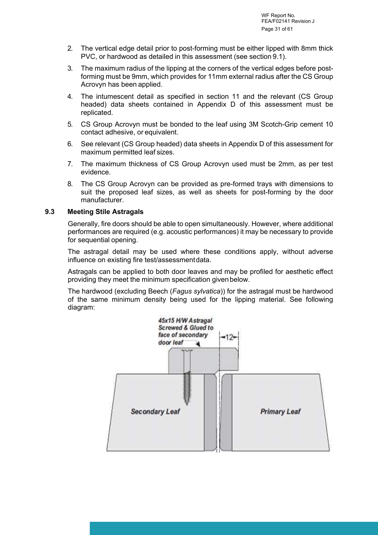- 2. The vertical edge detail prior to post-forming must be either lipped with 8mm thick PVC, or hardwood as detailed in this assessment (see section 9.1).
- 3. The maximum radius of the lipping at the corners of the vertical edges before postforming must be 9mm, which provides for 11mm external radius after the CS Group Acrovyn has been applied.
- 4. The intumescent detail as specified in section 11 and the relevant (CS Group headed) data sheets contained in Appendix D of this assessment must be replicated.
- 5. CS Group Acrovyn must be bonded to the leaf using 3M Scotch-Grip cement 10 contact adhesive, or equivalent.
- 6. See relevant (CS Group headed) data sheets in Appendix D of this assessment for maximum permitted leaf sizes.
- 7. The maximum thickness of CS Group Acrovyn used must be 2mm, as per test evidence.
- 8. The CS Group Acrovyn can be provided as pre-formed trays with dimensions to suit the proposed leaf sizes, as well as sheets for post-forming by the door manufacturer.

#### **9.3 Meeting Stile Astragals**

Generally, fire doors should be able to open simultaneously. However, where additional performances are required (e.g. acoustic performances) it may be necessary to provide for sequential opening.

The astragal detail may be used where these conditions apply, without adverse influence on existing fire test/assessment data.

Astragals can be applied to both door leaves and may be profiled for aesthetic effect providing they meet the minimum specification given below.

The hardwood (excluding Beech (*Fagus sylvatica*)) for the astragal must be hardwood of the same minimum density being used for the lipping material. See following diagram:

![](_page_30_Figure_13.jpeg)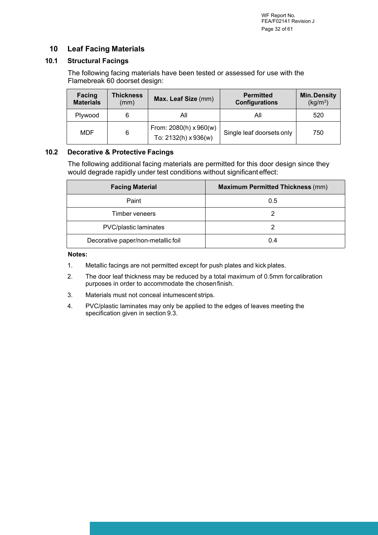### <span id="page-31-0"></span>**10 Leaf Facing Materials**

### **10.1 Structural Facings**

The following facing materials have been tested or assessed for use with the Flamebreak 60 doorset design:

| <b>Facing</b><br><b>Materials</b> | Thickness<br>(mm) | Max. Leaf Size (mm)                                   | <b>Permitted</b><br><b>Configurations</b> | <b>Min. Density</b><br>(kg/m <sup>3</sup> ) |
|-----------------------------------|-------------------|-------------------------------------------------------|-------------------------------------------|---------------------------------------------|
| Plywood                           | 6                 | All                                                   | All                                       | 520                                         |
| MDF                               | 6                 | From: $2080(h) \times 960(w)$<br>To: 2132(h) x 936(w) | Single leaf doorsets only                 | 750                                         |

### **10.2 Decorative & Protective Facings**

The following additional facing materials are permitted for this door design since they would degrade rapidly under test conditions without significant effect:

| <b>Facing Material</b>             | <b>Maximum Permitted Thickness (mm)</b> |
|------------------------------------|-----------------------------------------|
| Paint                              | 0.5                                     |
| Timber veneers                     |                                         |
| PVC/plastic laminates              |                                         |
| Decorative paper/non-metallic foil | 0.4                                     |

#### **Notes:**

- 1. Metallic facings are not permitted except for push plates and kick plates.
- 2. The door leaf thickness may be reduced by a total maximum of 0.5mm for calibration purposes in order to accommodate the chosen finish.
- 3. Materials must not conceal intumescent strips.
- 4. PVC/plastic laminates may only be applied to the edges of leaves meeting the specification given in section 9.3.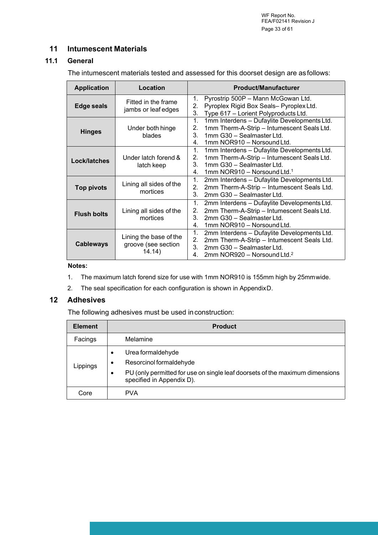WF Report No. FEA/F02141 Revision J Page 33 of 61

### <span id="page-32-0"></span>**11 Intumescent Materials**

### **11.1 General**

The intumescent materials tested and assessed for this doorset design are as follows:

| <b>Application</b> | Location                                                | <b>Product/Manufacturer</b>                                                                                                                                                              |
|--------------------|---------------------------------------------------------|------------------------------------------------------------------------------------------------------------------------------------------------------------------------------------------|
| Edge seals         | Fitted in the frame<br>jambs or leaf edges              | Pyrostrip 500P - Mann McGowan Ltd.<br>1.<br>2.<br>Pyroplex Rigid Box Seals- Pyroplex Ltd.<br>3.<br>Type 617 - Lorient Polyproducts Ltd.                                                  |
| <b>Hinges</b>      | Under both hinge<br>blades                              | 1mm Interdens - Dufaylite Developments Ltd.<br>1.<br>2.<br>1mm Therm-A-Strip - Intumescent Seals Ltd.<br>1mm G30 - Sealmaster Ltd.<br>3.<br>1mm NOR910 - Norsound Ltd.<br>4.             |
| Lock/latches       | Under latch forend &<br>latch keep                      | 1.<br>1mm Interdens - Dufaylite Developments Ltd.<br>1mm Therm-A-Strip - Intumescent Seals Ltd.<br>2.<br>3.<br>1mm G30 - Sealmaster Ltd.<br>1mm NOR910 - Norsound Ltd. <sup>1</sup><br>4 |
| <b>Top pivots</b>  | Lining all sides of the<br>mortices                     | 1.<br>2mm Interdens - Dufaylite Developments Ltd.<br>2mm Therm-A-Strip - Intumescent Seals Ltd.<br>2.<br>2mm G30 - Sealmaster Ltd.<br>3                                                  |
| <b>Flush bolts</b> | Lining all sides of the<br>mortices                     | 2mm Interdens - Dufaylite Developments Ltd.<br>1.<br>2mm Therm-A-Strip - Intumescent Seals Ltd.<br>2.<br>2mm G30 - Sealmaster Ltd.<br>3.<br>1mm NOR910 - Norsound Ltd.<br>$4_{-}$        |
| <b>Cableways</b>   | Lining the base of the<br>groove (see section<br>14.14) | 1.<br>2mm Interdens - Dufaylite Developments Ltd.<br>2.<br>2mm Therm-A-Strip - Intumescent Seals Ltd.<br>2mm G30 - Sealmaster Ltd.<br>3.<br>2mm NOR920 - Norsound Ltd. <sup>2</sup><br>4 |

#### **Notes:**

- 1. The maximum latch forend size for use with 1mm NOR910 is 155mm high by 25mm wide.
- 2. The seal specification for each configuration is shown in Appendix D.

### <span id="page-32-1"></span>**12 Adhesives**

The following adhesives must be used in construction:

| <b>Element</b> | <b>Product</b>                                                                                                         |  |  |
|----------------|------------------------------------------------------------------------------------------------------------------------|--|--|
| Facings        | Melamine                                                                                                               |  |  |
| Lippings       | Urea formaldehyde<br>$\bullet$<br>Resorcinol formaldehyde<br>$\bullet$                                                 |  |  |
|                | PU (only permitted for use on single leaf doorsets of the maximum dimensions<br>$\bullet$<br>specified in Appendix D). |  |  |
| Core           | <b>PVA</b>                                                                                                             |  |  |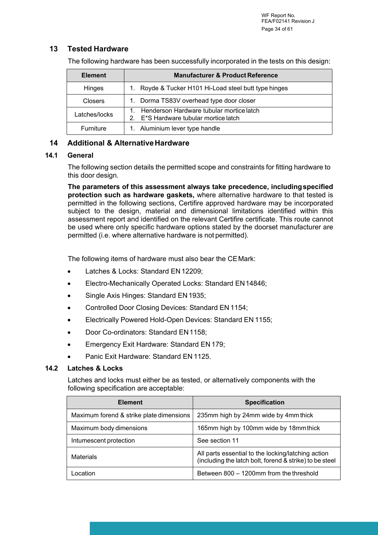### <span id="page-33-0"></span>**13 Tested Hardware**

The following hardware has been successfully incorporated in the tests on this design:

| <b>Element</b>   | <b>Manufacturer &amp; Product Reference</b>                                       |  |
|------------------|-----------------------------------------------------------------------------------|--|
| Hinges           | 1. Royde & Tucker H101 Hi-Load steel butt type hinges                             |  |
| <b>Closers</b>   | 1. Dorma TS83V overhead type door closer                                          |  |
| Latches/locks    | Henderson Hardware tubular mortice latch<br>2. E*S Hardware tubular mortice latch |  |
| <b>Furniture</b> | 1. Aluminium lever type handle                                                    |  |

### <span id="page-33-1"></span>**14 Additional & Alternative Hardware**

#### **14.1 General**

The following section details the permitted scope and constraints for fitting hardware to this door design.

**The parameters of this assessment always take precedence, including specified protection such as hardware gaskets,** where alternative hardware to that tested is permitted in the following sections, Certifire approved hardware may be incorporated subject to the design, material and dimensional limitations identified within this assessment report and identified on the relevant Certifire certificate. This route cannot be used where only specific hardware options stated by the doorset manufacturer are permitted (i.e. where alternative hardware is not permitted).

The following items of hardware must also bear the CE Mark:

- Latches & Locks: Standard EN 12209;
- Electro-Mechanically Operated Locks: Standard EN 14846;
- Single Axis Hinges: Standard EN 1935;
- Controlled Door Closing Devices: Standard EN 1154;
- **Electrically Powered Hold-Open Devices: Standard EN 1155;**
- Door Co-ordinators: Standard EN 1158:
- Emergency Exit Hardware: Standard EN 179;
- Panic Exit Hardware: Standard EN 1125.

#### **14.2 Latches & Locks**

Latches and locks must either be as tested, or alternatively components with the following specification are acceptable:

| <b>Element</b>                           | <b>Specification</b>                                                                                          |
|------------------------------------------|---------------------------------------------------------------------------------------------------------------|
| Maximum forend & strike plate dimensions | 235mm high by 24mm wide by 4mm thick                                                                          |
| Maximum body dimensions                  | 165mm high by 100mm wide by 18mm thick                                                                        |
| Intumescent protection                   | See section 11                                                                                                |
| <b>Materials</b>                         | All parts essential to the locking/latching action<br>(including the latch bolt, forend & strike) to be steel |
| ncation                                  | Between 800 - 1200mm from the threshold                                                                       |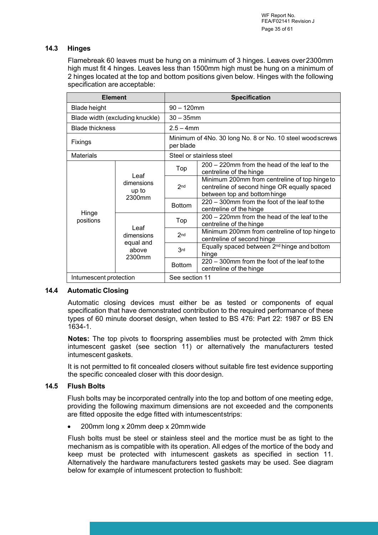#### **14.3 Hinges**

Flamebreak 60 leaves must be hung on a minimum of 3 hinges. Leaves over 2300mm high must fit 4 hinges. Leaves less than 1500mm high must be hung on a minimum of 2 hinges located at the top and bottom positions given below. Hinges with the following specification are acceptable:

| <b>Element</b>         |                                                    | <b>Specification</b>                                                   |                                                                                                                               |  |
|------------------------|----------------------------------------------------|------------------------------------------------------------------------|-------------------------------------------------------------------------------------------------------------------------------|--|
| <b>Blade height</b>    |                                                    | $90 - 120$ mm                                                          |                                                                                                                               |  |
|                        | Blade width (excluding knuckle)                    | $30 - 35$ mm                                                           |                                                                                                                               |  |
| <b>Blade thickness</b> |                                                    |                                                                        | $2.5 - 4$ mm                                                                                                                  |  |
| Fixings                |                                                    | Minimum of 4No. 30 long No. 8 or No. 10 steel wood screws<br>per blade |                                                                                                                               |  |
| <b>Materials</b>       |                                                    |                                                                        | Steel or stainless steel                                                                                                      |  |
|                        | l eaf<br>dimensions<br>up to<br>2300mm             | Top                                                                    | 200 – 220mm from the head of the leaf to the<br>centreline of the hinge                                                       |  |
|                        |                                                    | 2 <sub>nd</sub>                                                        | Minimum 200mm from centreline of top hinge to<br>centreline of second hinge OR equally spaced<br>between top and bottom hinge |  |
|                        |                                                    | <b>Bottom</b>                                                          | 220 – 300mm from the foot of the leaf to the<br>centreline of the hinge                                                       |  |
| Hinge<br>positions     | Leaf<br>dimensions<br>equal and<br>above<br>2300mm | Top                                                                    | 200 – 220mm from the head of the leaf to the<br>centreline of the hinge                                                       |  |
|                        |                                                    | 2nd                                                                    | Minimum 200mm from centreline of top hinge to<br>centreline of second hinge                                                   |  |
|                        |                                                    | 3 <sub>rd</sub>                                                        | Equally spaced between 2 <sup>nd</sup> hinge and bottom<br>hinge                                                              |  |
|                        |                                                    | <b>Bottom</b>                                                          | 220 – 300mm from the foot of the leaf to the<br>centreline of the hinge                                                       |  |
| Intumescent protection |                                                    | See section 11                                                         |                                                                                                                               |  |

#### **14.4 Automatic Closing**

Automatic closing devices must either be as tested or components of equal specification that have demonstrated contribution to the required performance of these types of 60 minute doorset design, when tested to BS 476: Part 22: 1987 or BS EN 1634-1.

**Notes:** The top pivots to floorspring assemblies must be protected with 2mm thick intumescent gasket (see section 11) or alternatively the manufacturers tested intumescent gaskets.

It is not permitted to fit concealed closers without suitable fire test evidence supporting the specific concealed closer with this door design.

#### **14.5 Flush Bolts**

Flush bolts may be incorporated centrally into the top and bottom of one meeting edge, providing the following maximum dimensions are not exceeded and the components are fitted opposite the edge fitted with intumescent strips:

200mm long x 20mm deep x 20mm wide

Flush bolts must be steel or stainless steel and the mortice must be as tight to the mechanism as is compatible with its operation. All edges of the mortice of the body and keep must be protected with intumescent gaskets as specified in section 11. Alternatively the hardware manufacturers tested gaskets may be used. See diagram below for example of intumescent protection to flush bolt: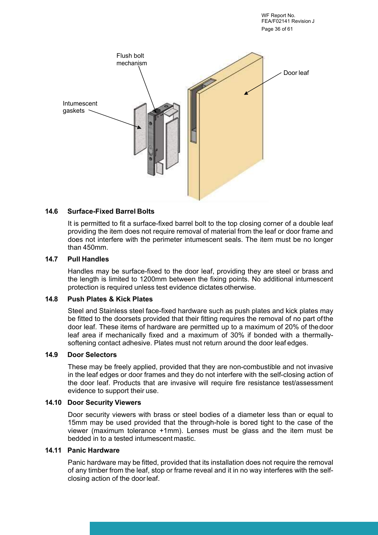WF Report No. FEA/F02141 Revision J Page 36 of 61

![](_page_35_Picture_1.jpeg)

#### **14.6 Surface-Fixed Barrel Bolts**

It is permitted to fit a surface-fixed barrel bolt to the top closing corner of a double leaf providing the item does not require removal of material from the leaf or door frame and does not interfere with the perimeter intumescent seals. The item must be no longer than 450mm.

#### **14.7 Pull Handles**

Handles may be surface-fixed to the door leaf, providing they are steel or brass and the length is limited to 1200mm between the fixing points. No additional intumescent protection is required unless test evidence dictates otherwise.

#### **14.8 Push Plates & Kick Plates**

Steel and Stainless steel face-fixed hardware such as push plates and kick plates may be fitted to the doorsets provided that their fitting requires the removal of no part of the door leaf. These items of hardware are permitted up to a maximum of 20% of the door leaf area if mechanically fixed and a maximum of 30% if bonded with a thermallysoftening contact adhesive. Plates must not return around the door leaf edges.

#### **14.9 Door Selectors**

These may be freely applied, provided that they are non-combustible and not invasive in the leaf edges or door frames and they do not interfere with the self-closing action of the door leaf. Products that are invasive will require fire resistance test/assessment evidence to support their use.

#### **14.10 Door Security Viewers**

Door security viewers with brass or steel bodies of a diameter less than or equal to 15mm may be used provided that the through-hole is bored tight to the case of the viewer (maximum tolerance +1mm). Lenses must be glass and the item must be bedded in to a tested intumescent mastic.

#### **14.11 Panic Hardware**

Panic hardware may be fitted, provided that its installation does not require the removal of any timber from the leaf, stop or frame reveal and it in no way interferes with the selfclosing action of the door leaf.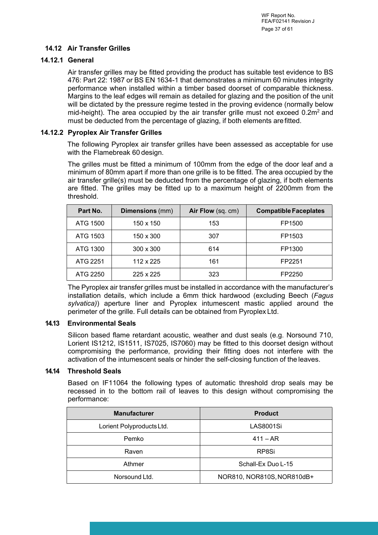### **14.12 Air Transfer Grilles**

#### **14.12.1 General**

Air transfer grilles may be fitted providing the product has suitable test evidence to BS 476: Part 22: 1987 or BS EN 1634-1 that demonstrates a minimum 60 minutes integrity performance when installed within a timber based doorset of comparable thickness. Margins to the leaf edges will remain as detailed for glazing and the position of the unit will be dictated by the pressure regime tested in the proving evidence (normally below mid-height). The area occupied by the air transfer grille must not exceed  $0.2m^2$  and must be deducted from the percentage of glazing, if both elements are fitted.

#### **14.12.2 Pyroplex Air Transfer Grilles**

The following Pyroplex air transfer grilles have been assessed as acceptable for use with the Flamebreak 60 design.

The grilles must be fitted a minimum of 100mm from the edge of the door leaf and a minimum of 80mm apart if more than one grille is to be fitted. The area occupied by the air transfer grille(s) must be deducted from the percentage of glazing, if both elements are fitted. The grilles may be fitted up to a maximum height of 2200mm from the threshold.

| Part No. | <b>Dimensions</b> (mm) | Air Flow (sq. cm) | <b>Compatible Faceplates</b> |
|----------|------------------------|-------------------|------------------------------|
| ATG 1500 | 150 x 150              | 153               | FP1500                       |
| ATG 1503 | 150 x 300              | 307               | FP1503                       |
| ATG 1300 | $300 \times 300$       | 614               | FP1300                       |
| ATG 2251 | 112 x 225              | 161               | FP2251                       |
| ATG 2250 | 225 x 225              | 323               | FP2250                       |

The Pyroplex air transfer grilles must be installed in accordance with the manufacturer's installation details, which include a 6mm thick hardwood (excluding Beech (*Fagus sylvatica)*) aperture liner and Pyroplex intumescent mastic applied around the perimeter of the grille. Full details can be obtained from Pyroplex Ltd.

#### **14.13 Environmental Seals**

Silicon based flame retardant acoustic, weather and dust seals (e.g. Norsound 710, Lorient IS1212, IS1511, IS7025, IS7060) may be fitted to this doorset design without compromising the performance, providing their fitting does not interfere with the activation of the intumescent seals or hinder the self-closing function of the leaves.

#### **14.14 Threshold Seals**

Based on IF11064 the following types of automatic threshold drop seals may be recessed in to the bottom rail of leaves to this design without compromising the performance:

| <b>Manufacturer</b>       | <b>Product</b>             |  |
|---------------------------|----------------------------|--|
| Lorient Polyproducts Ltd. | <b>LAS8001Si</b>           |  |
| Pemko                     | $411 - AR$                 |  |
| Raven                     | RP8Si                      |  |
| Athmer                    | Schall-Ex Duo L-15         |  |
| Norsound Ltd.             | NOR810, NOR810S, NOR810dB+ |  |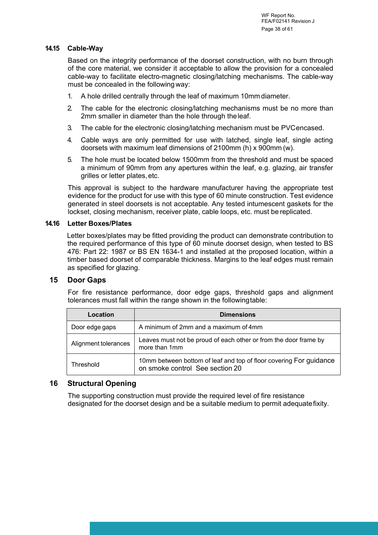#### **14.15 Cable-Way**

Based on the integrity performance of the doorset construction, with no burn through of the core material, we consider it acceptable to allow the provision for a concealed cable-way to facilitate electro-magnetic closing/latching mechanisms. The cable-way must be concealed in the following way:

- 1. A hole drilled centrally through the leaf of maximum 10mm diameter.
- 2. The cable for the electronic closing/latching mechanisms must be no more than 2mm smaller in diameter than the hole through the leaf.
- 3. The cable for the electronic closing/latching mechanism must be PVC encased.
- 4. Cable ways are only permitted for use with latched, single leaf, single acting doorsets with maximum leaf dimensions of 2100mm (h) x 900mm (w).
- 5. The hole must be located below 1500mm from the threshold and must be spaced a minimum of 90mm from any apertures within the leaf, e.g. glazing, air transfer grilles or letter plates, etc.

This approval is subject to the hardware manufacturer having the appropriate test evidence for the product for use with this type of 60 minute construction. Test evidence generated in steel doorsets is not acceptable. Any tested intumescent gaskets for the lockset, closing mechanism, receiver plate, cable loops, etc. must be replicated.

#### **14.16 Letter Boxes/Plates**

Letter boxes/plates may be fitted providing the product can demonstrate contribution to the required performance of this type of 60 minute doorset design, when tested to BS 476: Part 22: 1987 or BS EN 1634-1 and installed at the proposed location, within a timber based doorset of comparable thickness. Margins to the leaf edges must remain as specified for glazing.

#### <span id="page-37-0"></span>**15 Door Gaps**

For fire resistance performance, door edge gaps, threshold gaps and alignment tolerances must fall within the range shown in the following table:

| Location             | <b>Dimensions</b>                                                                                     |
|----------------------|-------------------------------------------------------------------------------------------------------|
| Door edge gaps       | A minimum of 2mm and a maximum of 4mm                                                                 |
| Alignment tolerances | Leaves must not be proud of each other or from the door frame by<br>more than 1mm                     |
| Threshold            | 10mm between bottom of leaf and top of floor covering For guidance<br>on smoke control See section 20 |

### <span id="page-37-1"></span>**16 Structural Opening**

The supporting construction must provide the required level of fire resistance designated for the doorset design and be a suitable medium to permit adequate fixity.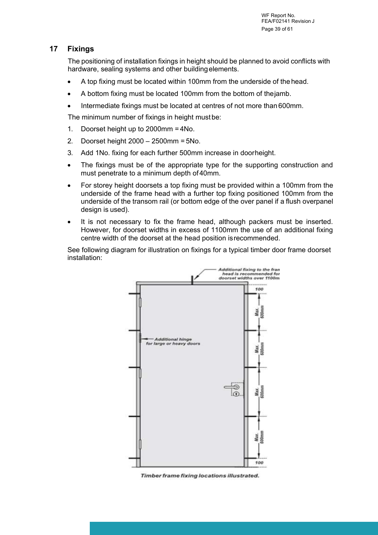### <span id="page-38-0"></span>**17 Fixings**

The positioning of installation fixings in height should be planned to avoid conflicts with hardware, sealing systems and other building elements.

- A top fixing must be located within 100mm from the underside of the head.
- A bottom fixing must be located 100mm from the bottom of the jamb.
- Intermediate fixings must be located at centres of not more than 600mm.

The minimum number of fixings in height must be:

- 1. Doorset height up to 2000mm = 4No.
- 2. Doorset height 2000 2500mm = 5No.
- 3. Add 1No. fixing for each further 500mm increase in door height.
- The fixings must be of the appropriate type for the supporting construction and must penetrate to a minimum depth of 40mm.
- For storey height doorsets a top fixing must be provided within a 100mm from the underside of the frame head with a further top fixing positioned 100mm from the underside of the transom rail (or bottom edge of the over panel if a flush overpanel design is used).
- It is not necessary to fix the frame head, although packers must be inserted. However, for doorset widths in excess of 1100mm the use of an additional fixing centre width of the doorset at the head position is recommended.

See following diagram for illustration on fixings for a typical timber door frame doorset installation:

![](_page_38_Figure_14.jpeg)

Timber frame fixing locations illustrated.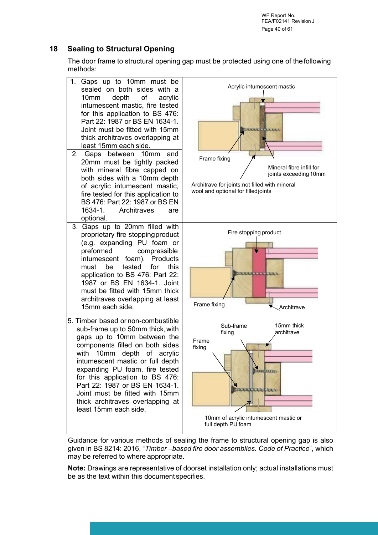WF Report No. FEA/F02141 Revision J Page 40 of 61

### <span id="page-39-0"></span>**18 Sealing to Structural Opening**

The door frame to structural opening gap must be protected using one of the following methods:

![](_page_39_Figure_3.jpeg)

Guidance for various methods of sealing the frame to structural opening gap is also given in BS 8214: 2016, "*Timber –based fire door assemblies. Code of Practice*", which may be referred to where appropriate.

**Note:** Drawings are representative of doorset installation only; actual installations must be as the text within this document specifies.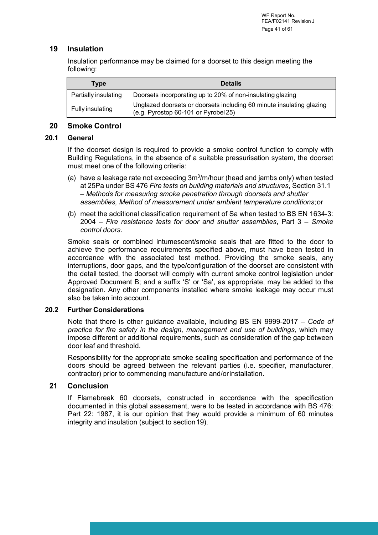### <span id="page-40-0"></span>**19 Insulation**

Insulation performance may be claimed for a doorset to this design meeting the following:

| Type                 | <b>Details</b>                                                                                               |
|----------------------|--------------------------------------------------------------------------------------------------------------|
| Partially insulating | Doorsets incorporating up to 20% of non-insulating glazing                                                   |
| Fully insulating     | Unglazed doorsets or doorsets including 60 minute insulating glazing<br>(e.g. Pyrostop 60-101 or Pyrobel 25) |

#### <span id="page-40-1"></span>**20 Smoke Control**

### **20.1 General**

If the doorset design is required to provide a smoke control function to comply with Building Regulations, in the absence of a suitable pressurisation system, the doorset must meet one of the following criteria:

- (a) have a leakage rate not exceeding  $3m<sup>3</sup>/m/hour$  (head and jambs only) when tested at 25Pa under BS 476 *Fire tests on building materials and structures*, Section 31.1 – *Methods for measuring smoke penetration through doorsets and shutter assemblies, Method of measurement under ambient temperature conditions*; or
- (b) meet the additional classification requirement of Sa when tested to BS EN 1634-3: 2004 – *Fire resistance tests for door and shutter assemblies*, Part 3 – *Smoke control doors*.

Smoke seals or combined intumescent/smoke seals that are fitted to the door to achieve the performance requirements specified above, must have been tested in accordance with the associated test method. Providing the smoke seals, any interruptions, door gaps, and the type/configuration of the doorset are consistent with the detail tested, the doorset will comply with current smoke control legislation under Approved Document B; and a suffix 'S' or 'Sa', as appropriate, may be added to the designation. Any other components installed where smoke leakage may occur must also be taken into account.

#### **20.2 Further Considerations**

Note that there is other guidance available, including BS EN 9999-2017 – *Code of practice for fire safety in the design, management and use of buildings,* which may impose different or additional requirements, such as consideration of the gap between door leaf and threshold.

Responsibility for the appropriate smoke sealing specification and performance of the doors should be agreed between the relevant parties (i.e. specifier, manufacturer, contractor) prior to commencing manufacture and/or installation.

### <span id="page-40-2"></span>**21 Conclusion**

If Flamebreak 60 doorsets, constructed in accordance with the specification documented in this global assessment, were to be tested in accordance with BS 476: Part 22: 1987, it is our opinion that they would provide a minimum of 60 minutes integrity and insulation (subject to section 19).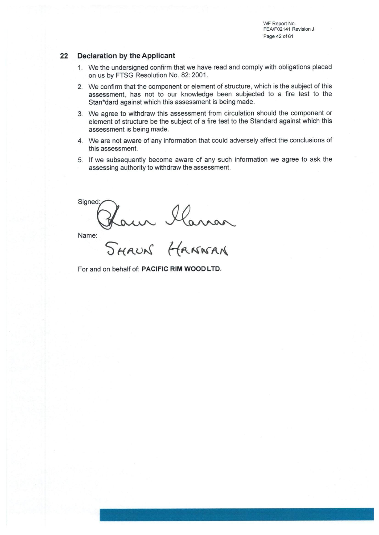WF Report No. FEA/F02141 Revision J Page 42 of 61

#### 22 **Declaration by the Applicant**

- 1. We the undersigned confirm that we have read and comply with obligations placed on us by FTSG Resolution No. 82: 2001.
- 2. We confirm that the component or element of structure, which is the subject of this assessment, has not to our knowledge been subjected to a fire test to the Stan\*dard against which this assessment is being made.
- 3. We agree to withdraw this assessment from circulation should the component or element of structure be the subject of a fire test to the Standard against which this assessment is being made.
- 4. We are not aware of any information that could adversely affect the conclusions of this assessment.
- 5. If we subsequently become aware of any such information we agree to ask the assessing authority to withdraw the assessment.

Signed: Hawn Haman<br>SHAUN HANNAN

Name:

For and on behalf of: PACIFIC RIM WOOD LTD.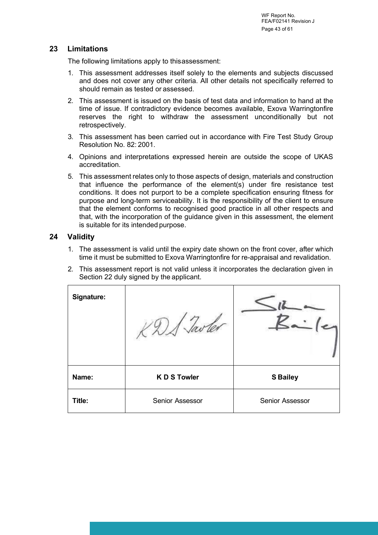### <span id="page-42-0"></span>**23 Limitations**

The following limitations apply to this assessment:

- 1. This assessment addresses itself solely to the elements and subjects discussed and does not cover any other criteria. All other details not specifically referred to should remain as tested or assessed.
- 2. This assessment is issued on the basis of test data and information to hand at the time of issue. If contradictory evidence becomes available, Exova Warringtonfire reserves the right to withdraw the assessment unconditionally but not retrospectively.
- 3. This assessment has been carried out in accordance with Fire Test Study Group Resolution No. 82: 2001.
- 4. Opinions and interpretations expressed herein are outside the scope of UKAS accreditation.
- 5. This assessment relates only to those aspects of design, materials and construction that influence the performance of the element(s) under fire resistance test conditions. It does not purport to be a complete specification ensuring fitness for purpose and long-term serviceability. It is the responsibility of the client to ensure that the element conforms to recognised good practice in all other respects and that, with the incorporation of the guidance given in this assessment, the element is suitable for its intended purpose.

### <span id="page-42-1"></span>**24 Validity**

- 1. The assessment is valid until the expiry date shown on the front cover, after which time it must be submitted to Exova Warringtonfire for re-appraisal and revalidation.
- 2. This assessment report is not valid unless it incorporates the declaration given in Section 22 duly signed by the applicant.

| Signature: |                   |                 |
|------------|-------------------|-----------------|
| Name:      | <b>KDS Towler</b> | <b>S Bailey</b> |
| Title:     | Senior Assessor   | Senior Assessor |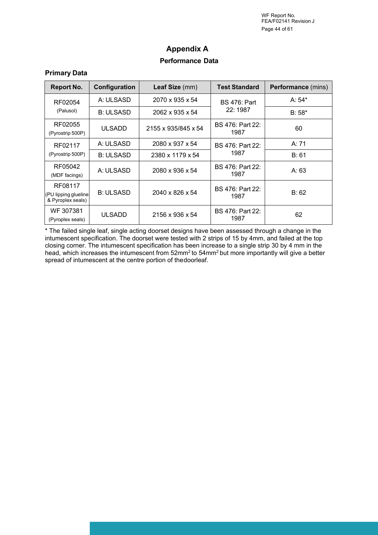WF Report No. FEA/F02141 Revision J Page 44 of 61

## **Appendix A Performance Data**

#### **Primary Data**

| <b>Report No.</b>                                     | Configuration    | Leaf Size (mm)      | <b>Test Standard</b>            | <b>Performance</b> (mins) |
|-------------------------------------------------------|------------------|---------------------|---------------------------------|---------------------------|
| RF02054                                               | A: ULSASD        | 2070 x 935 x 54     | <b>BS</b> 476: Part             | A: $54*$                  |
| (Palusol)                                             | <b>B: ULSASD</b> | 2062 x 935 x 54     | 22:1987                         | $B:58*$                   |
| RF02055<br>(Pyrostrip 500P)                           | <b>ULSADD</b>    | 2155 x 935/845 x 54 | <b>BS</b> 476: Part 22:<br>1987 | 60                        |
| RF02117                                               | A: ULSASD        | 2080 x 937 x 54     | <b>BS 476: Part 22:</b>         | A: 71                     |
| (Pyrostrip 500P)                                      | <b>B: ULSASD</b> | 2380 x 1179 x 54    | 1987                            | B: 61                     |
| RF05042<br>(MDF facings)                              | A: ULSASD        | 2080 x 936 x 54     | <b>BS</b> 476: Part 22:<br>1987 | A: 63                     |
| RF08117<br>(PU lipping glueline)<br>& Pyroplex seals) | <b>B: ULSASD</b> | 2040 x 826 x 54     | <b>BS 476: Part 22:</b><br>1987 | B: 62                     |
| WF 307381<br>(Pyroplex seals)                         | <b>ULSADD</b>    | 2156 x 936 x 54     | <b>BS 476: Part 22:</b><br>1987 | 62                        |

\* The failed single leaf, single acting doorset designs have been assessed through a change in the intumescent specification. The doorset were tested with 2 strips of 15 by 4mm, and failed at the top closing corner. The intumescent specification has been increase to a single strip 30 by 4 mm in the head, which increases the intumescent from 52mm<sup>2</sup> to 54mm<sup>2</sup> but more importantly will give a better spread of intumescent at the centre portion of the doorleaf.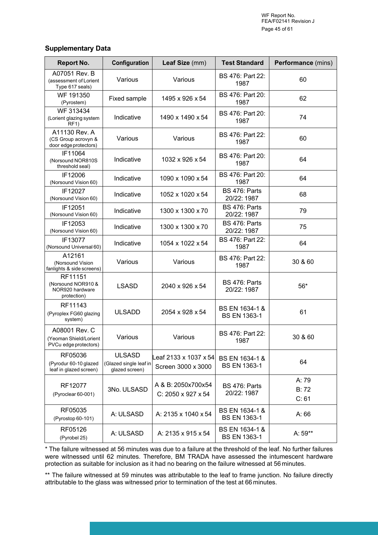#### **Supplementary Data**

| <b>Report No.</b>                                                | Configuration                                             | Leaf Size (mm)                               | <b>Test Standard</b>                  | Performance (mins)      |
|------------------------------------------------------------------|-----------------------------------------------------------|----------------------------------------------|---------------------------------------|-------------------------|
| A07051 Rev. B<br>(assessment of Lorient<br>Type 617 seals)       | Various                                                   | Various                                      | <b>BS 476: Part 22:</b><br>1987       | 60                      |
| WF 191350<br>(Pyrostem)                                          | Fixed sample                                              | 1495 x 926 x 54                              | BS 476: Part 20:<br>1987              | 62                      |
| WF 313434<br>(Lorient glazing system<br>RF1)                     | Indicative                                                | 1490 x 1490 x 54                             | BS 476: Part 20:<br>1987              | 74                      |
| A11130 Rev. A<br>(CS Group acrovyn &<br>door edge protectors)    | Various                                                   | Various                                      | BS 476: Part 22:<br>1987              | 60                      |
| IF11064<br>(Norsound NOR810S<br>threshold seal)                  | Indicative                                                | 1032 x 926 x 54                              | BS 476: Part 20:<br>1987              | 64                      |
| IF12006<br>(Norsound Vision 60)                                  | Indicative                                                | 1090 x 1090 x 54                             | BS 476: Part 20:<br>1987              | 64                      |
| IF12027<br>(Norsound Vision 60)                                  | Indicative                                                | 1052 x 1020 x 54                             | BS 476: Parts<br>20/22: 1987          | 68                      |
| IF12051<br>(Norsound Vision 60)                                  | Indicative                                                | 1300 x 1300 x 70                             | <b>BS 476: Parts</b><br>20/22: 1987   | 79                      |
| IF12053<br>(Norsound Vision 60)                                  | Indicative                                                | 1300 x 1300 x 70                             | BS 476: Parts<br>20/22: 1987          | 75                      |
| IF13077<br>(Norsound Universal 60)                               | Indicative                                                | 1054 x 1022 x 54                             | BS 476: Part 22:<br>1987              | 64                      |
| A12161<br>(Norsound Vision<br>fanlights & side screens)          | Various                                                   | Various                                      | BS 476: Part 22:<br>1987              | 30 & 60                 |
| RF11151<br>(Norsound NOR910 &<br>NOR920 hardware<br>protection)  | <b>LSASD</b>                                              | 2040 x 926 x 54                              | BS 476: Parts<br>20/22: 1987          | $56*$                   |
| RF11143<br>(Pyroplex FG60 glazing<br>system)                     | <b>ULSADD</b>                                             | 2054 x 928 x 54                              | BS EN 1634-1 &<br><b>BS EN 1363-1</b> | 61                      |
| A08001 Rev. C<br>(Yeoman Shield/Lorient<br>PVCu edge protectors) | Various                                                   | Various                                      | BS 476: Part 22:<br>1987              | 30 & 60                 |
| RF05036<br>(Pyrodur 60-10 glazed<br>leaf in glazed screen)       | <b>ULSASD</b><br>(Glazed single leaf in<br>glazed screen) | _eaf 2133 x 1037 x 54 <br>Screen 3000 x 3000 | BS EN 1634-1 &<br><b>BS EN 1363-1</b> | 64                      |
| RF12077<br>(Pyroclear 60-001)                                    | 3No. ULSASD                                               | A & B: 2050x700x54<br>C: 2050 x 927 x 54     | BS 476: Parts<br>20/22: 1987          | A: 79<br>B: 72<br>C: 61 |
| RF05035<br>(Pyrostop 60-101)                                     | A: ULSASD                                                 | A: 2135 x 1040 x 54                          | BS EN 1634-1 &<br><b>BS EN 1363-1</b> | A:66                    |
| RF05126<br>(Pyrobel 25)                                          | A: ULSASD                                                 | A: 2135 x 915 x 54                           | BS EN 1634-1 &<br><b>BS EN 1363-1</b> | A: 59**                 |

\* The failure witnessed at 56 minutes was due to a failure at the threshold of the leaf. No further failures were witnessed until 62 minutes. Therefore, BM TRADA have assessed the intumescent hardware protection as suitable for inclusion as it had no bearing on the failure witnessed at 56 minutes.

\*\* The failure witnessed at 59 minutes was attributable to the leaf to frame junction. No failure directly attributable to the glass was witnessed prior to termination of the test at 66 minutes.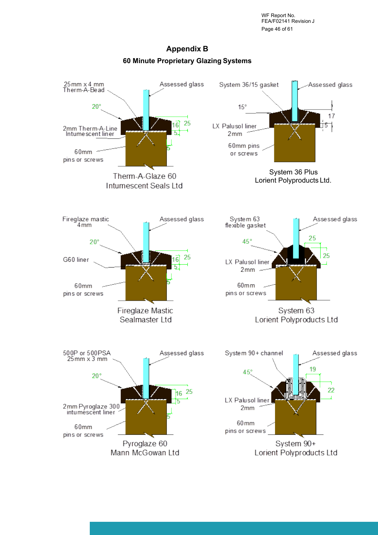WF Report No. FEA/F02141 Revision J Page 46 of 61

![](_page_45_Figure_1.jpeg)

## **Appendix B 60 Minute Proprietary Glazing Systems**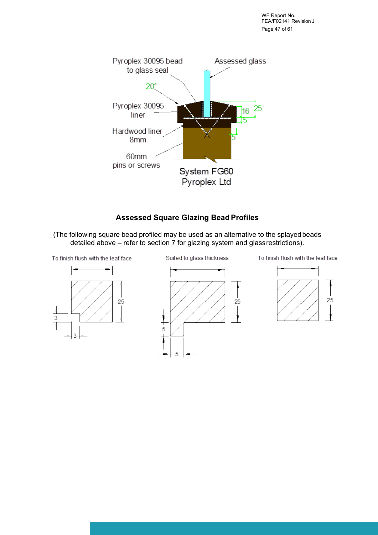WF Report No. FEA/F02141 Revision J Page 47 of 61

![](_page_46_Figure_1.jpeg)

## **Assessed Square Glazing Bead Profiles**

(The following square bead profiled may be used as an alternative to the splayed beads detailed above – refer to section  $\overline{7}$  for glazing system and glass restrictions).

![](_page_46_Figure_4.jpeg)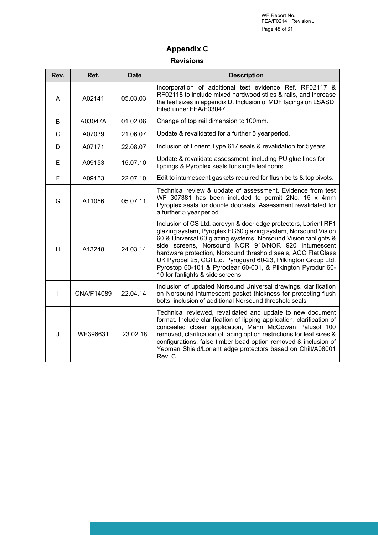WF Report No. FEA/F02141 Revision J Page 48 of 61

# **Appendix C**

### **Revisions**

| Rev.         | Ref.       | <b>Date</b> | <b>Description</b>                                                                                                                                                                                                                                                                                                                                                                                                                                                                               |  |
|--------------|------------|-------------|--------------------------------------------------------------------------------------------------------------------------------------------------------------------------------------------------------------------------------------------------------------------------------------------------------------------------------------------------------------------------------------------------------------------------------------------------------------------------------------------------|--|
| A            | A02141     | 05.03.03    | Incorporation of additional test evidence Ref. RF02117 &<br>RF02118 to include mixed hardwood stiles & rails, and increase<br>the leaf sizes in appendix D. Inclusion of MDF facings on LSASD.<br>Filed under FEA/F03047.                                                                                                                                                                                                                                                                        |  |
| B            | A03047A    | 01.02.06    | Change of top rail dimension to 100mm.                                                                                                                                                                                                                                                                                                                                                                                                                                                           |  |
| $\mathsf{C}$ | A07039     | 21.06.07    | Update & revalidated for a further 5 year period.                                                                                                                                                                                                                                                                                                                                                                                                                                                |  |
| D            | A07171     | 22.08.07    | Inclusion of Lorient Type 617 seals & revalidation for 5years.                                                                                                                                                                                                                                                                                                                                                                                                                                   |  |
| Е            | A09153     | 15.07.10    | Update & revalidate assessment, including PU glue lines for<br>lippings & Pyroplex seals for single leafdoors.                                                                                                                                                                                                                                                                                                                                                                                   |  |
| F            | A09153     | 22.07.10    | Edit to intumescent gaskets required for flush bolts & top pivots.                                                                                                                                                                                                                                                                                                                                                                                                                               |  |
| G            | A11056     | 05.07.11    | Technical review & update of assessment. Evidence from test<br>WF 307381 has been included to permit 2No. 15 x 4mm<br>Pyroplex seals for double doorsets. Assessment revalidated for<br>a further 5 year period.                                                                                                                                                                                                                                                                                 |  |
| H            | A13248     | 24.03.14    | Inclusion of CS Ltd. acrovyn & door edge protectors, Lorient RF1<br>glazing system, Pyroplex FG60 glazing system, Norsound Vision<br>60 & Universal 60 glazing systems, Norsound Vision fanlights &<br>side screens, Norsound NOR 910/NOR 920 intumescent<br>hardware protection, Norsound threshold seals, AGC Flat Glass<br>UK Pyrobel 25, CGI Ltd. Pyroguard 60-23, Pilkington Group Ltd.<br>Pyrostop 60-101 & Pyroclear 60-001, & Pilkington Pyrodur 60-<br>10 for fanlights & side screens. |  |
| L            | CNA/F14089 | 22.04.14    | Inclusion of updated Norsound Universal drawings, clarification<br>on Norsound intumescent gasket thickness for protecting flush<br>bolts, inclusion of additional Norsound threshold seals                                                                                                                                                                                                                                                                                                      |  |
| J            | WF396631   | 23.02.18    | Technical reviewed, revalidated and update to new document<br>format. Include clarification of lipping application, clarification of<br>concealed closer application, Mann McGowan Palusol 100<br>removed, clarification of facing option restrictions for leaf sizes &<br>configurations, false timber bead option removed & inclusion of<br>Yeoman Shield/Lorient edge protectors based on Chilt/A08001<br>Rev. C.                                                                             |  |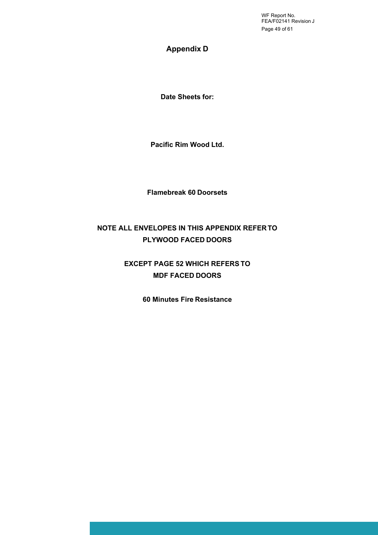WF Report No. FEA/F02141 Revision J Page 49 of 61

### **Appendix D**

**Date Sheets for:**

**Pacific Rim Wood Ltd.**

**Flamebreak 60 Doorsets**

## **NOTE ALL ENVELOPES IN THIS APPENDIX REFER TO PLYWOOD FACED DOORS**

## **EXCEPT PAGE 52 WHICH REFERS TO MDF FACED DOORS**

**60 Minutes Fire Resistance**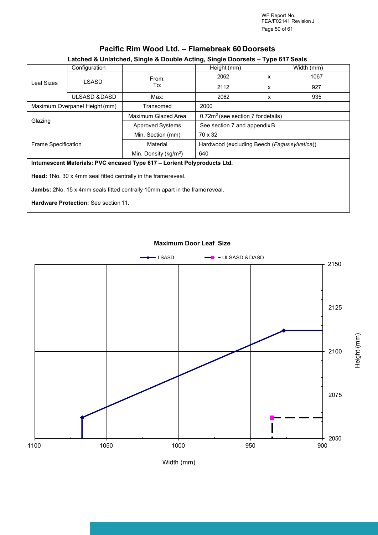WF Report No. FEA/F02141 Revision J Page 50 of 61

Height (m

m)

## **Pacific Rim Wood Ltd. – Flamebreak 60 Doorsets**

### **Latched & Unlatched, Single & Double Acting, Single Doorsets – Type 617 Seals**

| Configuration                                                           |               |                          | Height (mm)                                  | Width (mm) |      |
|-------------------------------------------------------------------------|---------------|--------------------------|----------------------------------------------|------------|------|
|                                                                         | LSASD         | From:                    | 2062                                         | x          | 1067 |
| Leaf Sizes                                                              |               | To:                      | 2112                                         | x          | 927  |
|                                                                         | ULSASD & DASD | Max:                     | 2062                                         | x          | 935  |
| Maximum Overpanel Height (mm)                                           |               | Transomed                | 2000                                         |            |      |
|                                                                         |               | Maximum Glazed Area      | $0.72m2$ (see section 7 for details)         |            |      |
| Glazing                                                                 |               | <b>Approved Systems</b>  | See section 7 and appendix B                 |            |      |
|                                                                         |               | Min. Section (mm)        | 70 x 32                                      |            |      |
| <b>Frame Specification</b>                                              |               | Material                 | Hardwood (excluding Beech (Fagus sylvatica)) |            |      |
|                                                                         |               | Min. Density ( $kg/m3$ ) | 640                                          |            |      |
| Intumescent Materials: PVC encased Type 617 - Lorient Polyproducts Ltd. |               |                          |                                              |            |      |

Head: 1No. 30 x 4mm seal fitted centrally in the frame reveal.

**Jambs:** 2No. 15 x 4mm seals fitted centrally 10mm apart in the frame reveal.

**Hardware Protection:** See section 11.

#### **Maximum Door Leaf Size**

![](_page_49_Figure_8.jpeg)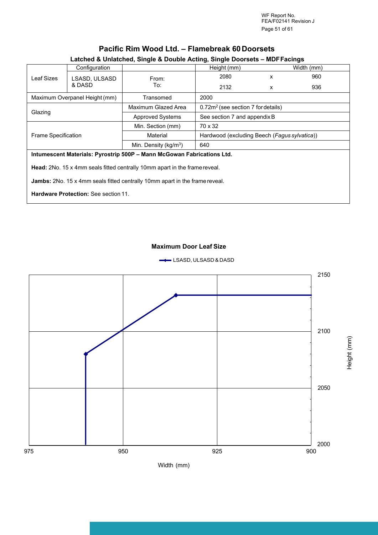WF Report No. FEA/F02141 Revision J Page 51 of 61

|                                                                                    | Configuration                               | Latched & Unlatched, Single & Double Acting, Single Doorsets - MDF Facings | Height (mm)                                  |   | Width (mm) |
|------------------------------------------------------------------------------------|---------------------------------------------|----------------------------------------------------------------------------|----------------------------------------------|---|------------|
| Leaf Sizes                                                                         | LSASD, ULSASD                               | From:                                                                      | 2080                                         | X | 960        |
|                                                                                    | & DASD                                      | To:                                                                        | 2132                                         | x | 936        |
|                                                                                    | Maximum Overpanel Height (mm)               | Transomed                                                                  | 2000                                         |   |            |
|                                                                                    |                                             | Maximum Glazed Area                                                        | $0.72m2$ (see section 7 for details)         |   |            |
| Glazing                                                                            |                                             | <b>Approved Systems</b>                                                    | See section 7 and appendix B                 |   |            |
|                                                                                    |                                             | Min. Section (mm)                                                          | 70 x 32                                      |   |            |
| <b>Frame Specification</b>                                                         |                                             | Material                                                                   | Hardwood (excluding Beech (Fagus sylvatica)) |   |            |
|                                                                                    |                                             | Min. Density ( $kg/m3$ )                                                   | 640                                          |   |            |
|                                                                                    |                                             | Intumescent Materials: Pyrostrip 500P - Mann McGowan Fabrications Ltd.     |                                              |   |            |
| <b>Head:</b> 2No. 15 x 4mm seals fitted centrally 10mm apart in the frame reveal.  |                                             |                                                                            |                                              |   |            |
| <b>Jambs:</b> 2No. 15 x 4mm seals fitted centrally 10mm apart in the frame reveal. |                                             |                                                                            |                                              |   |            |
|                                                                                    | <b>Hardware Protection: See section 11.</b> |                                                                            |                                              |   |            |

**Pacific Rim Wood Ltd. – Flamebreak 60 Doorsets**

### **Maximum Door Leaf Size**

![](_page_50_Figure_3.jpeg)

![](_page_50_Figure_4.jpeg)

Height (m E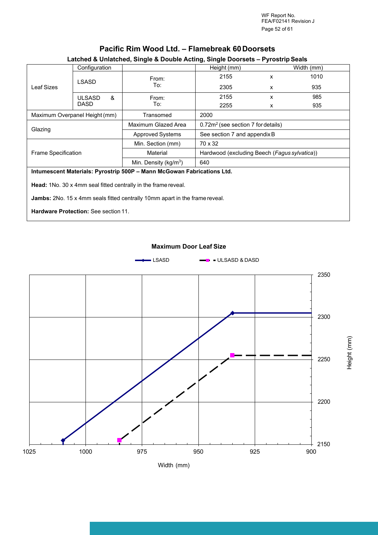WF Report No. FEA/F02141 Revision J Page 52 of 61

Height (m

E

| Latched & Uniatched, Single & Double Acting, Single Doorsets – Pyrostrip Seals |                               |                                  |                                              |            |      |  |
|--------------------------------------------------------------------------------|-------------------------------|----------------------------------|----------------------------------------------|------------|------|--|
|                                                                                | Configuration                 |                                  | Height (mm)                                  | Width (mm) |      |  |
|                                                                                | LSASD                         | From:                            | 2155                                         | x          | 1010 |  |
| Leaf Sizes                                                                     |                               | To:                              | 2305                                         | x          | 935  |  |
|                                                                                | &<br><b>ULSASD</b>            | From:                            | 2155                                         | x          | 985  |  |
|                                                                                | <b>DASD</b>                   | To:                              | 2255                                         | x          | 935  |  |
|                                                                                | Maximum Overpanel Height (mm) | Transomed                        | 2000                                         |            |      |  |
|                                                                                |                               | Maximum Glazed Area              | $0.72m2$ (see section 7 for details)         |            |      |  |
| Glazing                                                                        |                               | <b>Approved Systems</b>          | See section 7 and appendix B                 |            |      |  |
|                                                                                |                               | Min. Section (mm)                | 70 x 32                                      |            |      |  |
| <b>Frame Specification</b>                                                     |                               | Material                         | Hardwood (excluding Beech (Fagus sylvatica)) |            |      |  |
|                                                                                |                               | Min. Density ( $\text{kg/m}^3$ ) | 640                                          |            |      |  |
| Intumescent Materials: Pyrostrip 500P - Mann McGowan Fabrications Ltd.         |                               |                                  |                                              |            |      |  |
| <b>Head:</b> 1No. 30 x 4mm seal fitted centrally in the frame reveal.          |                               |                                  |                                              |            |      |  |

### **Pacific Rim Wood Ltd. – Flamebreak 60 Doorsets**

## **Latched & Unlatched, Single & Double Acting, Single Doorsets – Pyrostrip Seals**

**Jambs:** 2No. 15 x 4mm seals fitted centrally 10mm apart in the frame reveal.

**Hardware Protection:** See section 11.

![](_page_51_Figure_7.jpeg)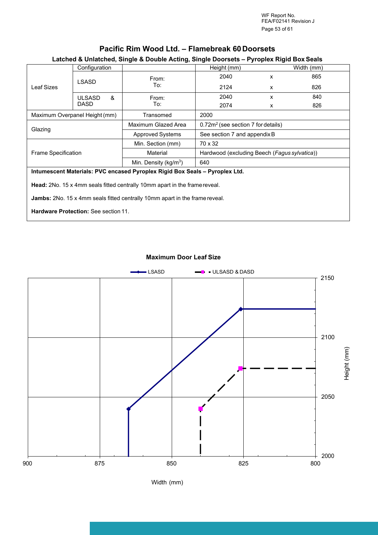WF Report No. FEA/F02141 Revision J Page 53 of 61

|                                                                                    | Configuration                 |                                                                             | Height (mm)                                    |   | Width (mm) |  |
|------------------------------------------------------------------------------------|-------------------------------|-----------------------------------------------------------------------------|------------------------------------------------|---|------------|--|
|                                                                                    | <b>LSASD</b>                  | From:                                                                       | 2040                                           | X | 865        |  |
| Leaf Sizes                                                                         |                               | To:                                                                         | 2124                                           | X | 826        |  |
|                                                                                    | &<br><b>ULSASD</b>            | From:                                                                       | 2040                                           | x | 840        |  |
|                                                                                    | <b>DASD</b>                   | To:                                                                         | 2074                                           | X | 826        |  |
|                                                                                    | Maximum Overpanel Height (mm) | Transomed                                                                   | 2000                                           |   |            |  |
|                                                                                    |                               | Maximum Glazed Area                                                         | 0.72m <sup>2</sup> (see section 7 for details) |   |            |  |
| Glazing                                                                            |                               | <b>Approved Systems</b>                                                     | See section 7 and appendix B                   |   |            |  |
|                                                                                    |                               | Min. Section (mm)                                                           | 70 x 32                                        |   |            |  |
| <b>Frame Specification</b>                                                         |                               | Material                                                                    | Hardwood (excluding Beech (Fagus sylvatica))   |   |            |  |
|                                                                                    |                               | Min. Density ( $kg/m3$ )                                                    | 640                                            |   |            |  |
|                                                                                    |                               | Intumescent Materials: PVC encased Pyroplex Rigid Box Seals - Pyroplex Ltd. |                                                |   |            |  |
| Head: 2No. 15 x 4mm seals fitted centrally 10mm apart in the frame reveal.         |                               |                                                                             |                                                |   |            |  |
| <b>Jambs:</b> 2No. 15 x 4mm seals fitted centrally 10mm apart in the frame reveal. |                               |                                                                             |                                                |   |            |  |
| <b>Hardware Protection: See section 11.</b>                                        |                               |                                                                             |                                                |   |            |  |

### **Pacific Rim Wood Ltd. – Flamebreak 60 Doorsets**

### **Latched & Unlatched, Single & Double Acting, Single Doorsets – Pyroplex Rigid Box Seals**

#### **Maximum Door Leaf Size**

![](_page_52_Figure_5.jpeg)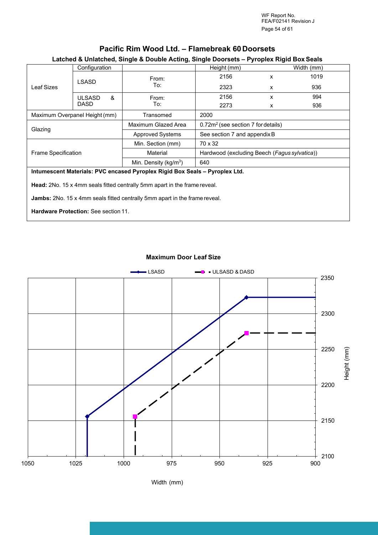WF Report No. FEA/F02141 Revision J Page 54 of 61

|                                                                            | Configuration                               |                                                                             | Height (mm)                                    | 1.71         | Width (mm) |  |  |
|----------------------------------------------------------------------------|---------------------------------------------|-----------------------------------------------------------------------------|------------------------------------------------|--------------|------------|--|--|
| Leaf Sizes                                                                 | LSASD                                       | From:                                                                       | 2156                                           | $\mathsf{x}$ | 1019       |  |  |
|                                                                            |                                             | To:                                                                         | 2323                                           | X            | 936        |  |  |
|                                                                            | &<br><b>ULSASD</b>                          | From:                                                                       | 2156                                           | X            | 994        |  |  |
|                                                                            | <b>DASD</b>                                 | To:                                                                         | 2273                                           | X            | 936        |  |  |
|                                                                            | Maximum Overpanel Height (mm)               | Transomed                                                                   | 2000                                           |              |            |  |  |
|                                                                            |                                             | Maximum Glazed Area                                                         | 0.72m <sup>2</sup> (see section 7 for details) |              |            |  |  |
| Glazing                                                                    |                                             | <b>Approved Systems</b>                                                     | See section 7 and appendix B                   |              |            |  |  |
|                                                                            |                                             | Min. Section (mm)                                                           | 70 x 32                                        |              |            |  |  |
| <b>Frame Specification</b>                                                 |                                             | Material                                                                    | Hardwood (excluding Beech (Fagus sylvatica))   |              |            |  |  |
|                                                                            |                                             | Min. Density (kg/m <sup>3</sup> )                                           | 640                                            |              |            |  |  |
|                                                                            |                                             | Intumescent Materials: PVC encased Pyroplex Rigid Box Seals - Pyroplex Ltd. |                                                |              |            |  |  |
|                                                                            |                                             | Head: 2No. 15 x 4mm seals fitted centrally 5mm apart in the frame reveal.   |                                                |              |            |  |  |
| Jambs: 2No. 15 x 4mm seals fitted centrally 5mm apart in the frame reveal. |                                             |                                                                             |                                                |              |            |  |  |
|                                                                            | <b>Hardware Protection: See section 11.</b> |                                                                             |                                                |              |            |  |  |

### **Pacific Rim Wood Ltd. – Flamebreak 60 Doorsets**

### **Latched & Unlatched, Single & Double Acting, Single Doorsets – Pyroplex Rigid Box Seals**

#### **Maximum Door Leaf Size**

![](_page_53_Figure_5.jpeg)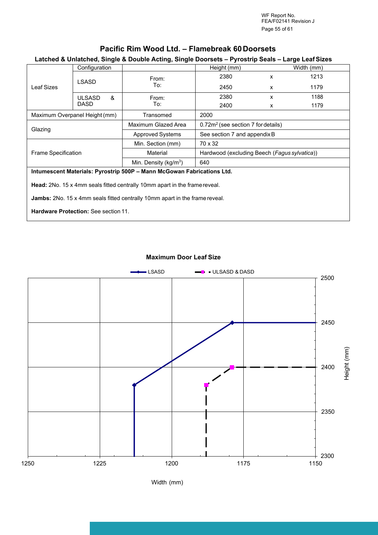WF Report No. FEA/F02141 Revision J Page 55 of 61

## **Pacific Rim Wood Ltd. – Flamebreak 60 Doorsets**

#### **Latched & Unlatched, Single & Double Acting, Single Doorsets – Pyrostrip Seals – Large Leaf Sizes**

| Leaf Sizes                                                                         | Configuration                 |                                                                        | Height (mm)                                  |              | Width (mm) |  |
|------------------------------------------------------------------------------------|-------------------------------|------------------------------------------------------------------------|----------------------------------------------|--------------|------------|--|
|                                                                                    | <b>LSASD</b>                  | From:                                                                  | 2380                                         | X            | 1213       |  |
|                                                                                    |                               | To:                                                                    | 2450                                         | X            | 1179       |  |
|                                                                                    | &<br><b>ULSASD</b>            | From:                                                                  | 2380                                         | $\mathsf{x}$ | 1188       |  |
|                                                                                    | <b>DASD</b>                   | To:                                                                    | 2400                                         | X            | 1179       |  |
|                                                                                    | Maximum Overpanel Height (mm) | Transomed                                                              | 2000                                         |              |            |  |
|                                                                                    |                               | Maximum Glazed Area                                                    | $0.72m2$ (see section 7 for details)         |              |            |  |
| Glazing                                                                            |                               | <b>Approved Systems</b>                                                | See section 7 and appendix B                 |              |            |  |
|                                                                                    |                               | Min. Section (mm)                                                      | 70 x 32                                      |              |            |  |
| Frame Specification                                                                |                               | Material                                                               | Hardwood (excluding Beech (Fagus sylvatica)) |              |            |  |
|                                                                                    |                               | Min. Density ( $kg/m3$ )                                               | 640                                          |              |            |  |
|                                                                                    |                               | Intumescent Materials: Pyrostrip 500P - Mann McGowan Fabrications Ltd. |                                              |              |            |  |
| <b>Head:</b> 2No. 15 x 4mm seals fitted centrally 10mm apart in the frame reveal.  |                               |                                                                        |                                              |              |            |  |
| <b>Jambs:</b> 2No. 15 x 4mm seals fitted centrally 10mm apart in the frame reveal. |                               |                                                                        |                                              |              |            |  |
| <b>Hardware Protection: See section 11.</b>                                        |                               |                                                                        |                                              |              |            |  |

#### **Maximum Door Leaf Size**

![](_page_54_Figure_5.jpeg)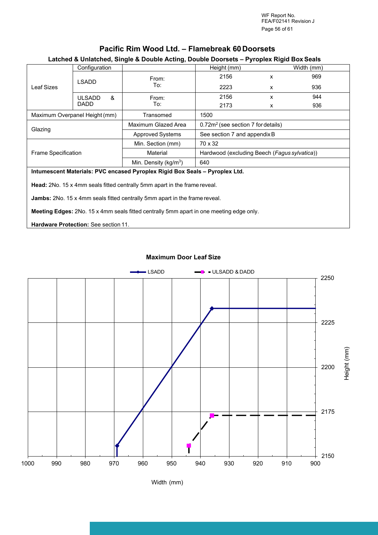WF Report No. FEA/F02141 Revision J Page 56 of 61

### **Pacific Rim Wood Ltd. – Flamebreak 60 Doorsets**

#### **Latched & Unlatched, Single & Double Acting, Double Doorsets – Pyroplex Rigid Box Seals**

| Leaf Sizes                                                                              | Configuration                                                                    |                                                                             | Height (mm)                                    |              | Width (mm) |  |  |
|-----------------------------------------------------------------------------------------|----------------------------------------------------------------------------------|-----------------------------------------------------------------------------|------------------------------------------------|--------------|------------|--|--|
|                                                                                         | <b>LSADD</b>                                                                     | From:                                                                       | 2156                                           | $\mathsf{x}$ | 969        |  |  |
|                                                                                         |                                                                                  | To:                                                                         | 2223                                           | X            | 936        |  |  |
|                                                                                         | <b>ULSADD</b><br>&                                                               | From:                                                                       | 2156                                           | X            | 944        |  |  |
|                                                                                         | DADD                                                                             | To:                                                                         | 2173                                           | X            | 936        |  |  |
|                                                                                         | Maximum Overpanel Height (mm)                                                    | Transomed                                                                   | 1500                                           |              |            |  |  |
|                                                                                         |                                                                                  | Maximum Glazed Area                                                         | 0.72m <sup>2</sup> (see section 7 for details) |              |            |  |  |
| Glazing                                                                                 |                                                                                  | <b>Approved Systems</b>                                                     | See section 7 and appendix B                   |              |            |  |  |
|                                                                                         |                                                                                  | Min. Section (mm)                                                           | 70 x 32                                        |              |            |  |  |
| <b>Frame Specification</b>                                                              |                                                                                  | Material                                                                    | Hardwood (excluding Beech (Fagus sylvatica))   |              |            |  |  |
|                                                                                         |                                                                                  | Min. Density ( $kg/m3$ )                                                    | 640                                            |              |            |  |  |
|                                                                                         |                                                                                  | Intumescent Materials: PVC encased Pyroplex Rigid Box Seals - Pyroplex Ltd. |                                                |              |            |  |  |
|                                                                                         | <b>Head:</b> 2No. 15 x 4mm seals fitted centrally 5mm apart in the frame reveal. |                                                                             |                                                |              |            |  |  |
| <b>Jambs:</b> 2No. 15 x 4mm seals fitted centrally 5mm apart in the frame reveal.       |                                                                                  |                                                                             |                                                |              |            |  |  |
| Meeting Edges: 2No. 15 x 4mm seals fitted centrally 5mm apart in one meeting edge only. |                                                                                  |                                                                             |                                                |              |            |  |  |
| <b>Hardware Protection: See section 11.</b>                                             |                                                                                  |                                                                             |                                                |              |            |  |  |

#### **Maximum Door Leaf Size**

![](_page_55_Figure_5.jpeg)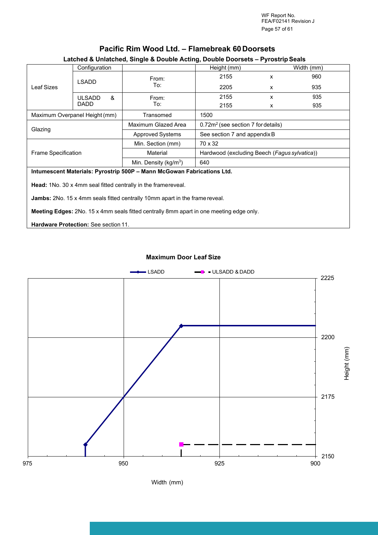WF Report No. FEA/F02141 Revision J Page 57 of 61

| Leaf Sizes                                                                                     | Configuration                                                                      |                                                                        | . .<br>Height (mm)                           |   | Width (mm) |  |  |
|------------------------------------------------------------------------------------------------|------------------------------------------------------------------------------------|------------------------------------------------------------------------|----------------------------------------------|---|------------|--|--|
|                                                                                                | <b>LSADD</b>                                                                       | From:                                                                  | 2155                                         | x | 960        |  |  |
|                                                                                                |                                                                                    | To:                                                                    | 2205                                         | x | 935        |  |  |
|                                                                                                | &<br><b>ULSADD</b>                                                                 | From:                                                                  | 2155                                         | x | 935        |  |  |
|                                                                                                | <b>DADD</b>                                                                        | To:                                                                    | 2155                                         | x | 935        |  |  |
|                                                                                                | Maximum Overpanel Height (mm)                                                      | Transomed                                                              | 1500                                         |   |            |  |  |
|                                                                                                |                                                                                    | Maximum Glazed Area                                                    | $0.72m2$ (see section 7 for details)         |   |            |  |  |
| Glazing                                                                                        |                                                                                    | <b>Approved Systems</b>                                                | See section 7 and appendix B                 |   |            |  |  |
|                                                                                                |                                                                                    | Min. Section (mm)                                                      | 70 x 32                                      |   |            |  |  |
| Frame Specification                                                                            |                                                                                    | Material                                                               | Hardwood (excluding Beech (Fagus sylvatica)) |   |            |  |  |
|                                                                                                |                                                                                    | Min. Density ( $kg/m3$ )                                               | 640                                          |   |            |  |  |
|                                                                                                |                                                                                    | Intumescent Materials: Pyrostrip 500P - Mann McGowan Fabrications Ltd. |                                              |   |            |  |  |
|                                                                                                | <b>Head:</b> 1No. 30 x 4mm seal fitted centrally in the framereveal.               |                                                                        |                                              |   |            |  |  |
|                                                                                                | <b>Jambs:</b> 2No. 15 x 4mm seals fitted centrally 10mm apart in the frame reveal. |                                                                        |                                              |   |            |  |  |
| <b>Meeting Edges:</b> 2No. 15 x 4mm seals fitted centrally 8mm apart in one meeting edge only. |                                                                                    |                                                                        |                                              |   |            |  |  |
| <b>Hardware Protection: See section 11.</b>                                                    |                                                                                    |                                                                        |                                              |   |            |  |  |

### **Pacific Rim Wood Ltd. – Flamebreak 60 Doorsets**

#### **Latched & Unlatched, Single & Double Acting, Double Doorsets – Pyrostrip Seals**

#### **Maximum Door Leaf Size**

![](_page_56_Figure_5.jpeg)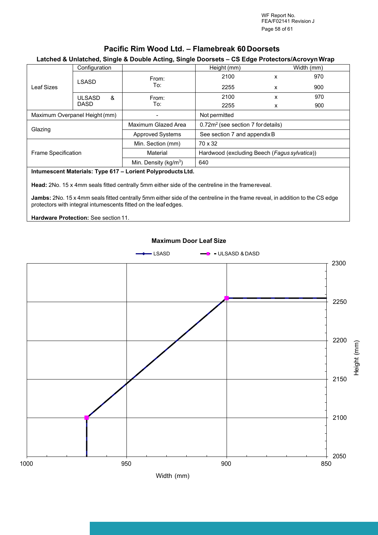WF Report No. FEA/F02141 Revision J Page 58 of 61

### **Pacific Rim Wood Ltd. – Flamebreak 60 Doorsets**

#### **Latched & Unlatched, Single & Double Acting, Single Doorsets – CS Edge Protectors/Acrovyn Wrap**

| Leaf Sizes                    | Configuration                                                                                                                                            |                          | Height (mm)                                  |   | Width (mm) |  |  |
|-------------------------------|----------------------------------------------------------------------------------------------------------------------------------------------------------|--------------------------|----------------------------------------------|---|------------|--|--|
|                               | <b>LSASD</b>                                                                                                                                             | From:<br>To:             | 2100                                         | x | 970        |  |  |
|                               |                                                                                                                                                          |                          | 2255                                         | x | 900        |  |  |
|                               | &<br><b>ULSASD</b><br><b>DASD</b>                                                                                                                        | From:<br>To:             | 2100                                         | X | 970        |  |  |
|                               |                                                                                                                                                          |                          | 2255                                         | X | 900        |  |  |
| Maximum Overpanel Height (mm) |                                                                                                                                                          |                          | Not permitted                                |   |            |  |  |
| Glazing                       |                                                                                                                                                          | Maximum Glazed Area      | $0.72m2$ (see section 7 for details)         |   |            |  |  |
|                               |                                                                                                                                                          | <b>Approved Systems</b>  | See section 7 and appendix B                 |   |            |  |  |
| <b>Frame Specification</b>    |                                                                                                                                                          | Min. Section (mm)        | 70 x 32                                      |   |            |  |  |
|                               |                                                                                                                                                          | Material                 | Hardwood (excluding Beech (Fagus sylvatica)) |   |            |  |  |
|                               |                                                                                                                                                          | Min. Density ( $kg/m3$ ) | 640                                          |   |            |  |  |
|                               | ta toda a che che telle della telle dell'Unione del Metro<br>il in andre and illustration and a starting the first of the first of the first of the U.S. |                          |                                              |   |            |  |  |

#### **Intumescent Materials: Type 617 – Lorient Polyproducts Ltd.**

**Head:** 2No. 15 x 4mm seals fitted centrally 5mm either side of the centreline in the frame reveal.

**Jambs:** 2No. 15 x 4mm seals fitted centrally 5mm either side of the centreline in the frame reveal, in addition to the CS edge protectors with integral intumescents fitted on the leaf edges.

**Hardware Protection:** See section 11.

![](_page_57_Figure_8.jpeg)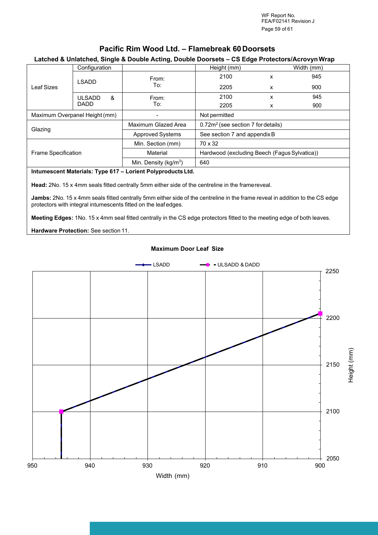WF Report No. FEA/F02141 Revision J Page 59 of 61

### **Pacific Rim Wood Ltd. – Flamebreak 60 Doorsets**

#### **Latched & Unlatched, Single & Double Acting, Double Doorsets – CS Edge Protectors/Acrovyn Wrap**

| Leaf Sizes                    | Configuration                     |                          |                                              | Height (mm)                                    |     | Width (mm) |  |
|-------------------------------|-----------------------------------|--------------------------|----------------------------------------------|------------------------------------------------|-----|------------|--|
|                               | <b>LSADD</b>                      | From:                    | 2100                                         | x                                              | 945 |            |  |
|                               |                                   |                          | To:                                          | 2205                                           | X   | 900        |  |
|                               | &<br><b>ULSADD</b><br><b>DADD</b> |                          | From:                                        | 2100                                           | x   | 945        |  |
|                               |                                   |                          | To:                                          | 2205                                           | X   | 900        |  |
| Maximum Overpanel Height (mm) |                                   |                          |                                              | Not permitted                                  |     |            |  |
| Glazing                       |                                   |                          | Maximum Glazed Area                          | 0.72m <sup>2</sup> (see section 7 for details) |     |            |  |
|                               |                                   |                          | <b>Approved Systems</b>                      | See section 7 and appendix B                   |     |            |  |
| <b>Frame Specification</b>    |                                   | Min. Section (mm)        | 70 x 32                                      |                                                |     |            |  |
|                               |                                   | Material                 | Hardwood (excluding Beech (Fagus Sylvatica)) |                                                |     |            |  |
|                               |                                   | Min. Density ( $kg/m3$ ) | 640                                          |                                                |     |            |  |
|                               |                                   |                          |                                              |                                                |     |            |  |

#### **Intumescent Materials: Type 617 – Lorient Polyproducts Ltd.**

**Head:** 2No. 15 x 4mm seals fitted centrally 5mm either side of the centreline in the frame reveal.

**Jambs:** 2No. 15 x 4mm seals fitted centrally 5mm either side of the centreline in the frame reveal in addition to the CS edge protectors with integral intumescents fitted on the leaf edges.

**Meeting Edges:** 1No. 15 x 4mm seal fitted centrally in the CS edge protectors fitted to the meeting edge of both leaves.

**Hardware Protection:** See section 11.

![](_page_58_Figure_10.jpeg)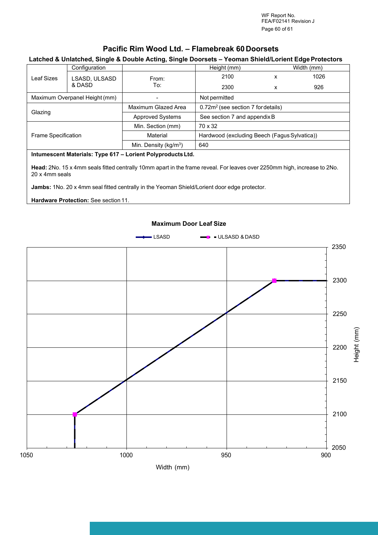WF Report No. FEA/F02141 Revision J Page 60 of 61

### **Pacific Rim Wood Ltd. – Flamebreak 60 Doorsets**

#### **Latched & Unlatched, Single & Double Acting, Single Doorsets – Yeoman Shield/Lorient Edge Protectors**

|                                                             |                         | . .                      |                                                |            |      |  |
|-------------------------------------------------------------|-------------------------|--------------------------|------------------------------------------------|------------|------|--|
| Leaf Sizes                                                  | Configuration           |                          | Height (mm)                                    | Width (mm) |      |  |
|                                                             | LSASD, ULSASD<br>& DASD | From:<br>To:             | 2100                                           | x          | 1026 |  |
|                                                             |                         |                          | 2300                                           | x          | 926  |  |
| Maximum Overpanel Height (mm)                               |                         |                          | Not permitted                                  |            |      |  |
| Glazing                                                     |                         | Maximum Glazed Area      | 0.72m <sup>2</sup> (see section 7 for details) |            |      |  |
|                                                             |                         | <b>Approved Systems</b>  | See section 7 and appendix B                   |            |      |  |
| <b>Frame Specification</b>                                  |                         | Min. Section (mm)        | 70 x 32                                        |            |      |  |
|                                                             |                         | Material                 | Hardwood (excluding Beech (Fagus Sylvatica))   |            |      |  |
|                                                             |                         | Min. Density ( $kg/m3$ ) | 640                                            |            |      |  |
| Intumescent Materials: Type 617 - Lorient Polyproducts Ltd. |                         |                          |                                                |            |      |  |

**Head:** 2No. 15 x 4mm seals fitted centrally 10mm apart in the frame reveal. For leaves over 2250mm high, increase to 2No. 20 x 4mm seals

**Jambs:** 1No. 20 x 4mm seal fitted centrally in the Yeoman Shield/Lorient door edge protector.

**Hardware Protection:** See section 11.

![](_page_59_Figure_8.jpeg)